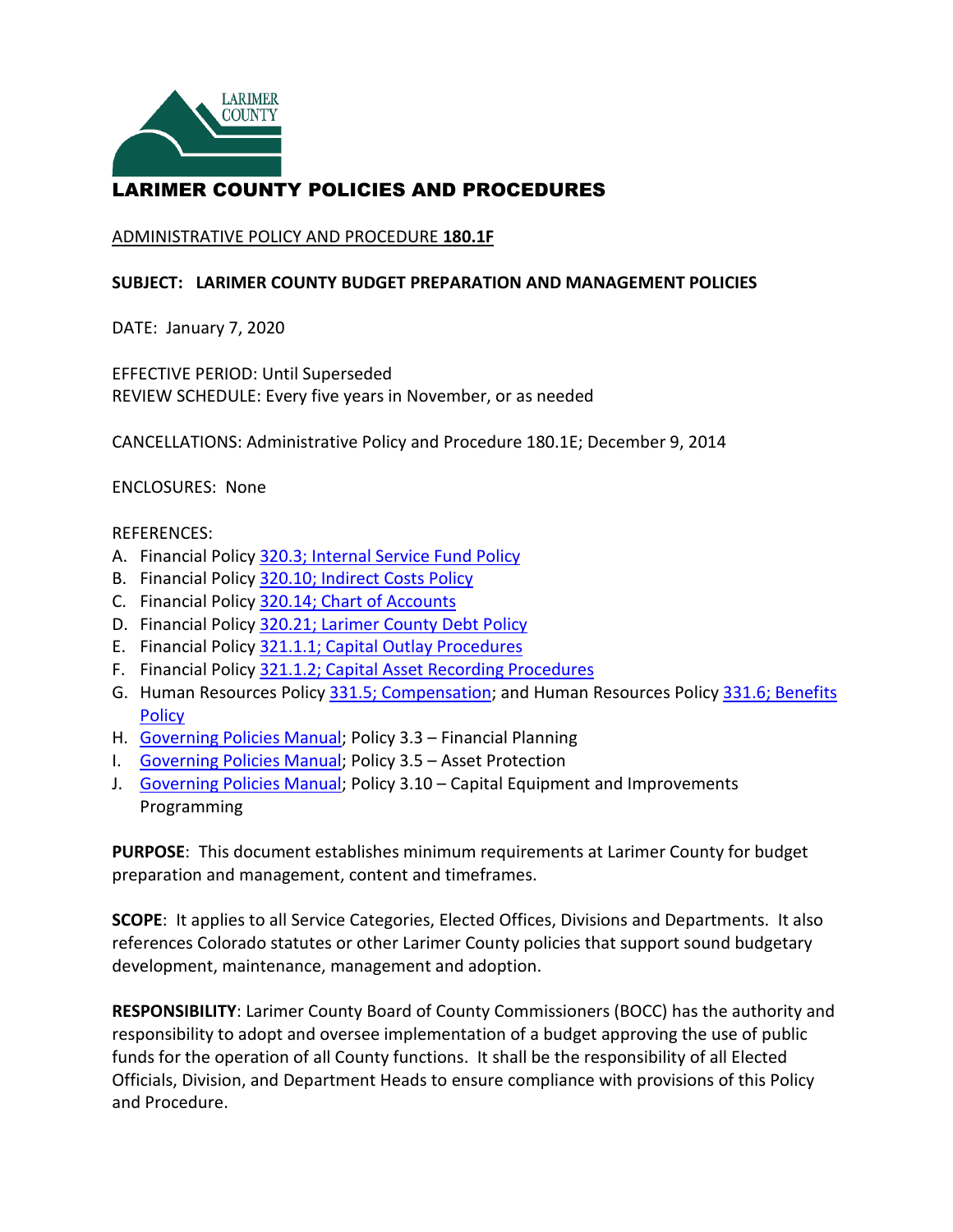

# LARIMER COUNTY POLICIES AND PROCEDURES

#### ADMINISTRATIVE POLICY AND PROCEDURE **180.1F**

#### **SUBJECT: LARIMER COUNTY BUDGET PREPARATION AND MANAGEMENT POLICIES**

DATE: January 7, 2020

EFFECTIVE PERIOD: Until Superseded REVIEW SCHEDULE: Every five years in November, or as needed

CANCELLATIONS: Administrative Policy and Procedure 180.1E; December 9, 2014

ENCLOSURES: None

#### REFERENCES:

- A. Financial Policy [320.3; Internal Service Fund Policy](https://www.larimer.org/bboard/ops/320.3)
- B. Financial Policy [320.10; Indirect Costs Policy](https://www.larimer.org/bboard/ops/320.10)
- C. Financial Policy [320.14; Chart of Accounts](https://www.larimer.org/bboard/ops/320.14)
- D. Financial Policy 320.21; Larimer County Debt Policy
- E. Financial Policy [321.1.1; Capital Outlay Procedures](https://www.larimer.org/bboard/ops/321.1.1)
- F. Financial Policy [321.1.2; Capital Asset Recording Procedures](https://www.larimer.org/bboard/ops/321.1.2)
- G. Human Resources Policy [331.5; Compensation;](https://www.larimer.org/hr/hr-policies-and-procedures/331.5) and Human Resources Policy 331.6; Benefits **Policy**
- H. [Governing Policies Manual;](https://www.larimer.org/sites/default/files/governing_policies.pdf) Policy 3.3 Financial Planning
- I. [Governing Policies Manual;](https://www.larimer.org/sites/default/files/governing_policies.pdf) Policy 3.5 Asset Protection
- J. [Governing Policies Manual;](https://www.larimer.org/sites/default/files/governing_policies.pdf) Policy 3.10 Capital Equipment and Improvements Programming

**PURPOSE**: This document establishes minimum requirements at Larimer County for budget preparation and management, content and timeframes.

**SCOPE**: It applies to all Service Categories, Elected Offices, Divisions and Departments. It also references Colorado statutes or other Larimer County policies that support sound budgetary development, maintenance, management and adoption.

 **RESPONSIBILITY**: Larimer County Board of County Commissioners (BOCC) has the authority and funds for the operation of all County functions. It shall be the responsibility of all Elected Officials, Division, and Department Heads to ensure compliance with provisions of this Policy responsibility to adopt and oversee implementation of a budget approving the use of public and Procedure.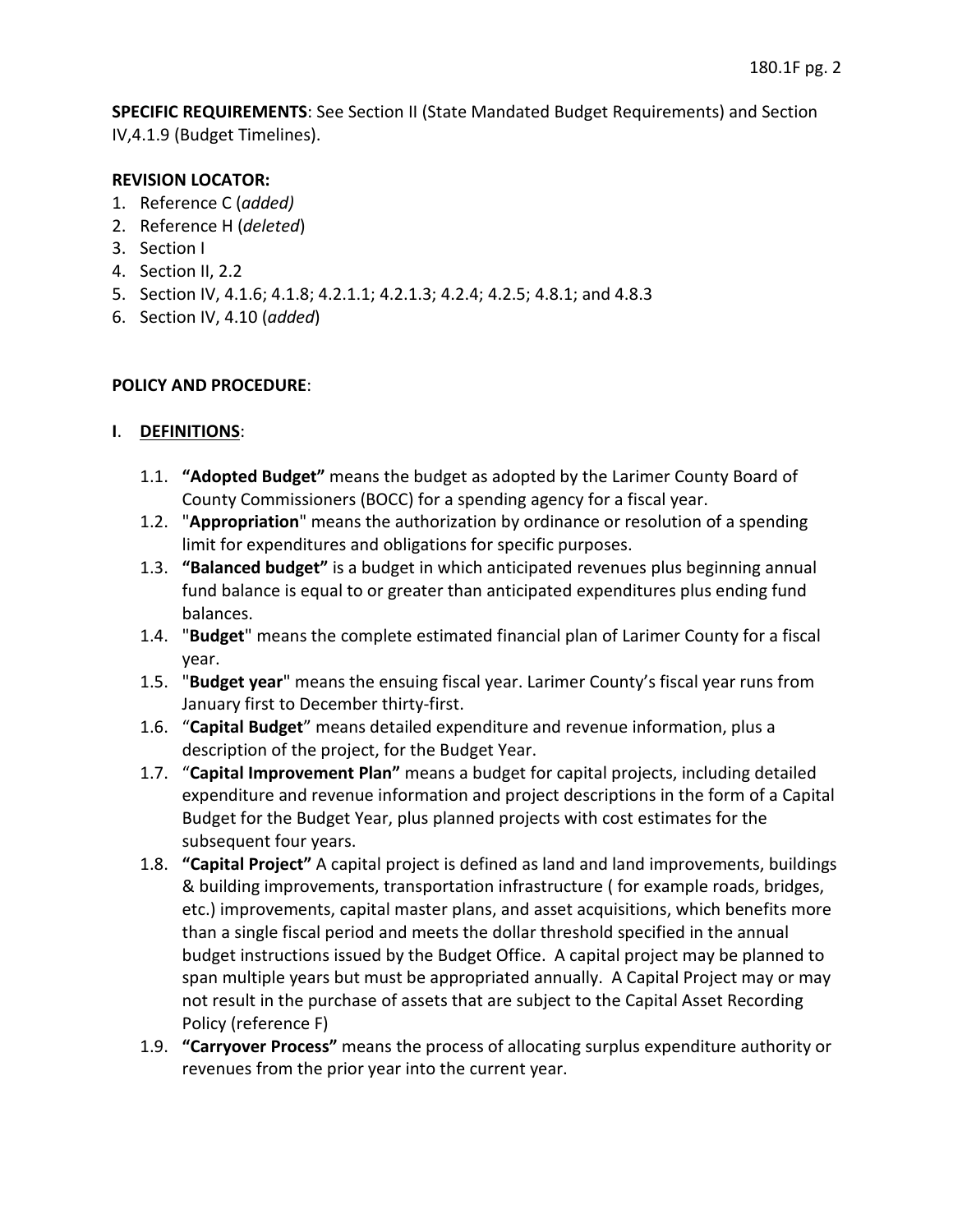**SPECIFIC REQUIREMENTS**: See Section II (State Mandated Budget Requirements) and Section IV,4.1.9 (Budget Timelines).

### **REVISION LOCATOR:**

- 1. Reference C (*added)*
- 2. Reference H (*deleted*)
- 3. Section I
- 4. Section II, 2.2
- 5. Section IV, 4.1.6; 4.1.8; 4.2.1.1; 4.2.1.3; 4.2.4; 4.2.5; 4.8.1; and 4.8.3
- 6. Section IV, 4.10 (*added*)

## **POLICY AND PROCEDURE**:

## **I**. **DEFINITIONS**:

- 1.1. **"Adopted Budget"** means the budget as adopted by the Larimer County Board of County Commissioners (BOCC) for a spending agency for a fiscal year.
- 1.2. "**Appropriation**" means the authorization by ordinance or resolution of a spending limit for expenditures and obligations for specific purposes.
- fund balance is equal to or greater than anticipated expenditures plus ending fund 1.3. **"Balanced budget"** is a budget in which anticipated revenues plus beginning annual balances.
- 1.4. "**Budget**" means the complete estimated financial plan of Larimer County for a fiscal year.
- 1.5. "**Budget year**" means the ensuing fiscal year. Larimer County's fiscal year runs from January first to December thirty-first.
- 1.6. "**Capital Budget**" means detailed expenditure and revenue information, plus a description of the project, for the Budget Year.
- 1.7. "**Capital Improvement Plan"** means a budget for capital projects, including detailed Budget for the Budget Year, plus planned projects with cost estimates for the subsequent four years. expenditure and revenue information and project descriptions in the form of a Capital
- than a single fiscal period and meets the dollar threshold specified in the annual budget instructions issued by the Budget Office. A capital project may be planned to span multiple years but must be appropriated annually. A Capital Project may or may not result in the purchase of assets that are subject to the Capital Asset Recording 1.8. **"Capital Project"** A capital project is defined as land and land improvements, buildings & building improvements, transportation infrastructure ( for example roads, bridges, etc.) improvements, capital master plans, and asset acquisitions, which benefits more Policy (reference F)
- 1.9. **"Carryover Process"** means the process of allocating surplus expenditure authority or revenues from the prior year into the current year.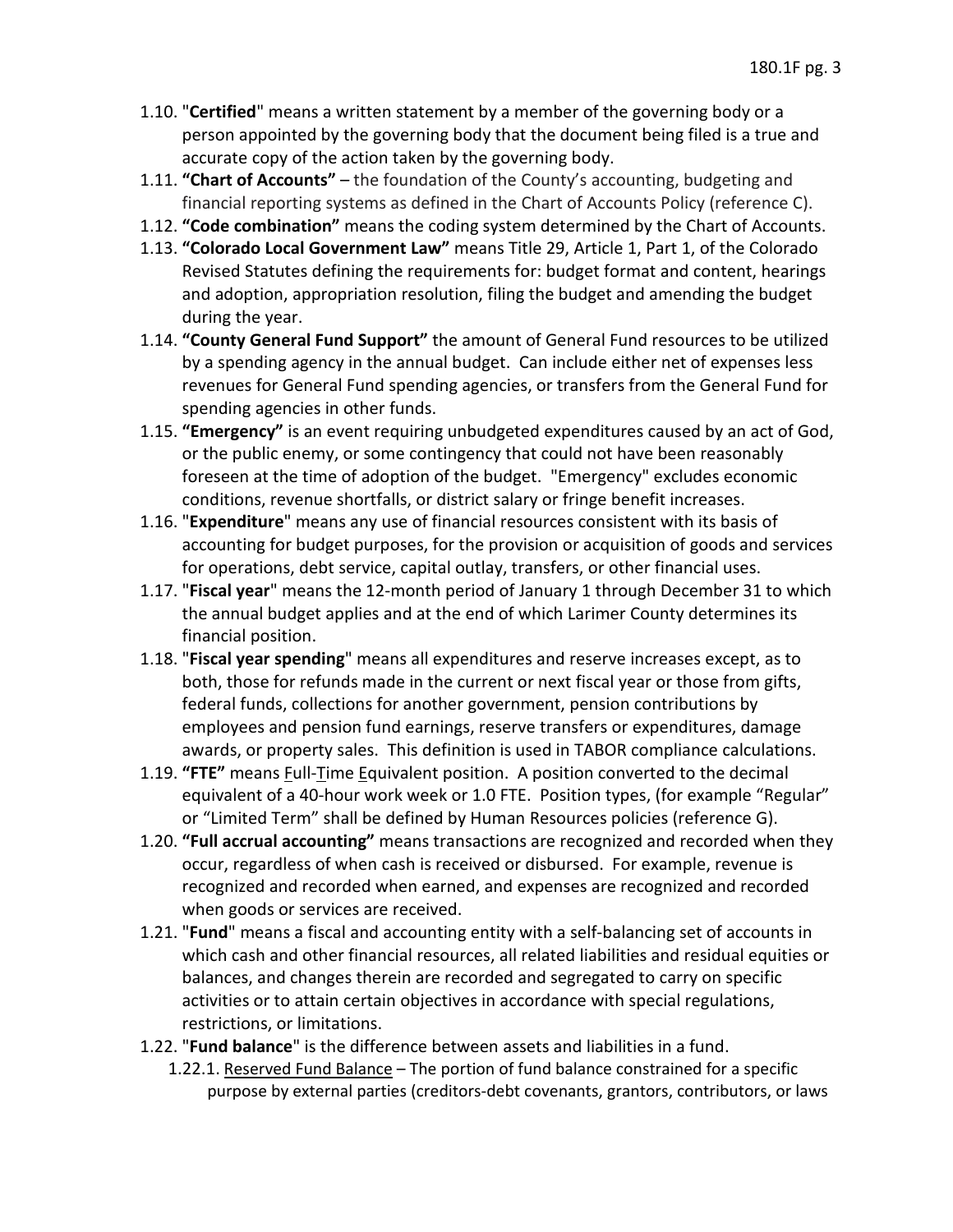- 1.10. "**Certified**" means a written statement by a member of the governing body or a person appointed by the governing body that the document being filed is a true and accurate copy of the action taken by the governing body.
- 1.11. **"Chart of Accounts"**  the foundation of the County's accounting, budgeting and financial reporting systems as defined in the Chart of Accounts Policy (reference C).
- 1.12. **"Code combination"** means the coding system determined by the Chart of Accounts.
- 1.13. **"Colorado Local Government Law"** means Title 29, Article 1, Part 1, of the Colorado Revised Statutes defining the requirements for: budget format and content, hearings and adoption, appropriation resolution, filing the budget and amending the budget during the year.
- by a spending agency in the annual budget. Can include either net of expenses less 1.14. **"County General Fund Support"** the amount of General Fund resources to be utilized revenues for General Fund spending agencies, or transfers from the General Fund for spending agencies in other funds.
- foreseen at the time of adoption of the budget. "Emergency" excludes economic conditions, revenue shortfalls, or district salary or fringe benefit increases. 1.15. **"Emergency"** is an event requiring unbudgeted expenditures caused by an act of God, or the public enemy, or some contingency that could not have been reasonably
- accounting for budget purposes, for the provision or acquisition of goods and services for operations, debt service, capital outlay, transfers, or other financial uses. 1.16. "**Expenditure**" means any use of financial resources consistent with its basis of
- 1.17. "**Fiscal year**" means the 12-month period of January 1 through December 31 to which the annual budget applies and at the end of which Larimer County determines its financial position.
- federal funds, collections for another government, pension contributions by awards, or property sales. This definition is used in TABOR compliance calculations. 1.18. "**Fiscal year spending**" means all expenditures and reserve increases except, as to both, those for refunds made in the current or next fiscal year or those from gifts, employees and pension fund earnings, reserve transfers or expenditures, damage
- 1.19. **"FTE"** means Full-Time Equivalent position. A position converted to the decimal equivalent of a 40-hour work week or 1.0 FTE. Position types, (for example "Regular" or "Limited Term" shall be defined by Human Resources policies (reference G).
- 1.20. **"Full accrual accounting"** means transactions are recognized and recorded when they occur, regardless of when cash is received or disbursed. For example, revenue is recognized and recorded when earned, and expenses are recognized and recorded when goods or services are received.
- 1.21. "**Fund**" means a fiscal and accounting entity with a self-balancing set of accounts in which cash and other financial resources, all related liabilities and residual equities or balances, and changes therein are recorded and segregated to carry on specific activities or to attain certain objectives in accordance with special regulations, restrictions, or limitations.
- 1.22. "**Fund balance**" is the difference between assets and liabilities in a fund.
	- 1.22.1. Reserved Fund Balance The portion of fund balance constrained for a specific purpose by external parties (creditors-debt covenants, grantors, contributors, or laws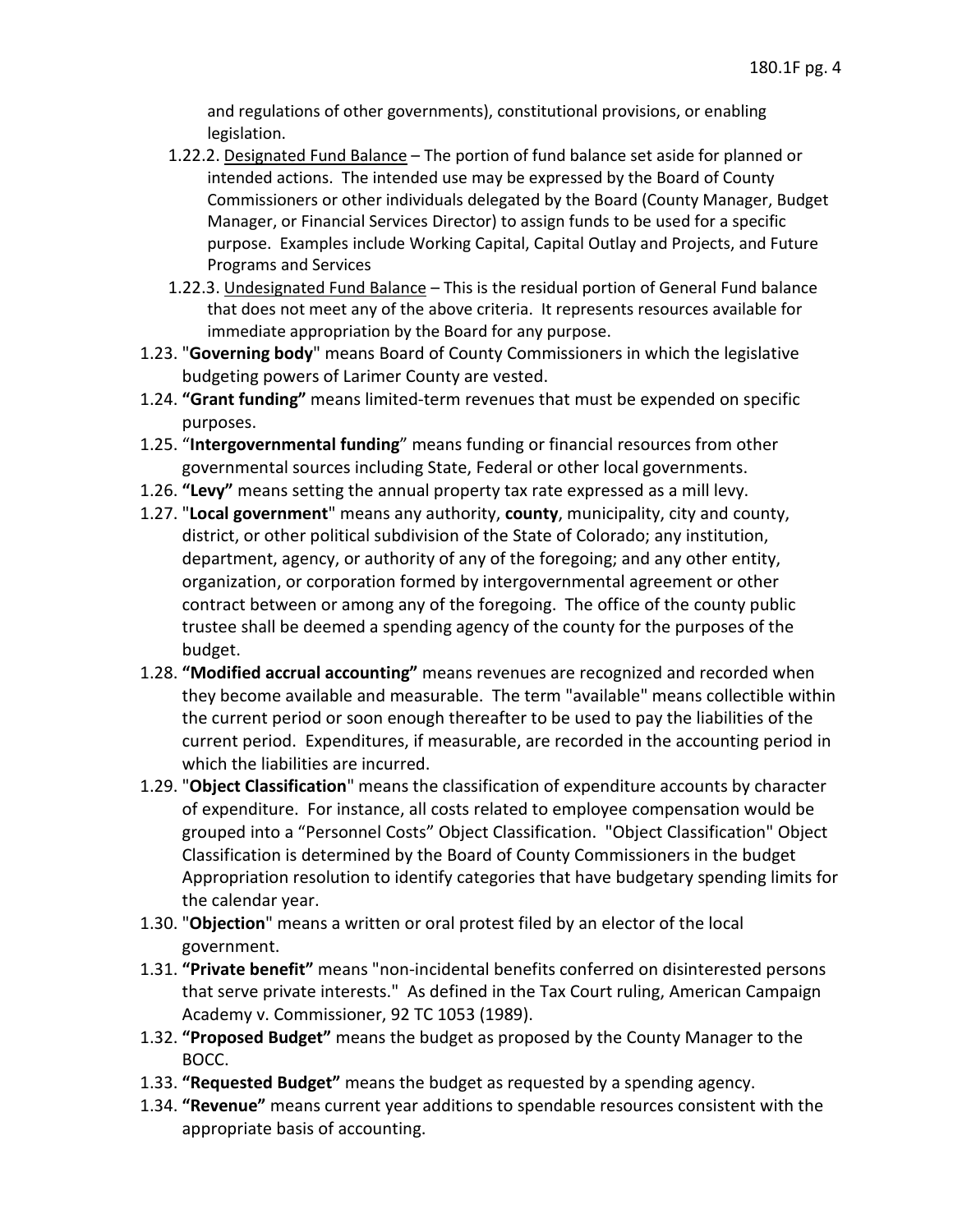and regulations of other governments), constitutional provisions, or enabling legislation.

- 1.22.2. Designated Fund Balance The portion of fund balance set aside for planned or purpose. Examples include Working Capital, Capital Outlay and Projects, and Future intended actions. The intended use may be expressed by the Board of County Commissioners or other individuals delegated by the Board (County Manager, Budget Manager, or Financial Services Director) to assign funds to be used for a specific Programs and Services
- 1.22.3. Undesignated Fund Balance This is the residual portion of General Fund balance that does not meet any of the above criteria. It represents resources available for immediate appropriation by the Board for any purpose.
- 1.23. "**Governing body**" means Board of County Commissioners in which the legislative budgeting powers of Larimer County are vested.
- purposes. 1.24. **"Grant funding"** means limited-term revenues that must be expended on specific
- purposes. 1.25. "**Intergovernmental funding**" means funding or financial resources from other governmental sources including State, Federal or other local governments.
- 1.26. **"Levy"** means setting the annual property tax rate expressed as a mill levy.
- 1.27. "**Local government**" means any authority, **county**, municipality, city and county, department, agency, or authority of any of the foregoing; and any other entity, organization, or corporation formed by intergovernmental agreement or other contract between or among any of the foregoing. The office of the county public trustee shall be deemed a spending agency of the county for the purposes of the district, or other political subdivision of the State of Colorado; any institution, budget.
- they become available and measurable. The term "available" means collectible within the current period or soon enough thereafter to be used to pay the liabilities of the current period. Expenditures, if measurable, are recorded in the accounting period in 1.28. **"Modified accrual accounting"** means revenues are recognized and recorded when which the liabilities are incurred.
- of expenditure. For instance, all costs related to employee compensation would be grouped into a "Personnel Costs" Object Classification. "Object Classification" Object 1.29. "**Object Classification**" means the classification of expenditure accounts by character Classification is determined by the Board of County Commissioners in the budget Appropriation resolution to identify categories that have budgetary spending limits for the calendar year.
- 1.30. "**Objection**" means a written or oral protest filed by an elector of the local government.
- that serve private interests." As defined in the Tax Court ruling, American Campaign Academy v. Commissioner, 92 TC 1053 (1989). 1.31. **"Private benefit"** means "non-incidental benefits conferred on disinterested persons
- Academy v. Commissioner, 92 TC 1053 (1989). 1.32. **"Proposed Budget"** means the budget as proposed by the County Manager to the BOCC.
- 1.33. **"Requested Budget"** means the budget as requested by a spending agency.
- 1.34. **"Revenue"** means current year additions to spendable resources consistent with the appropriate basis of accounting.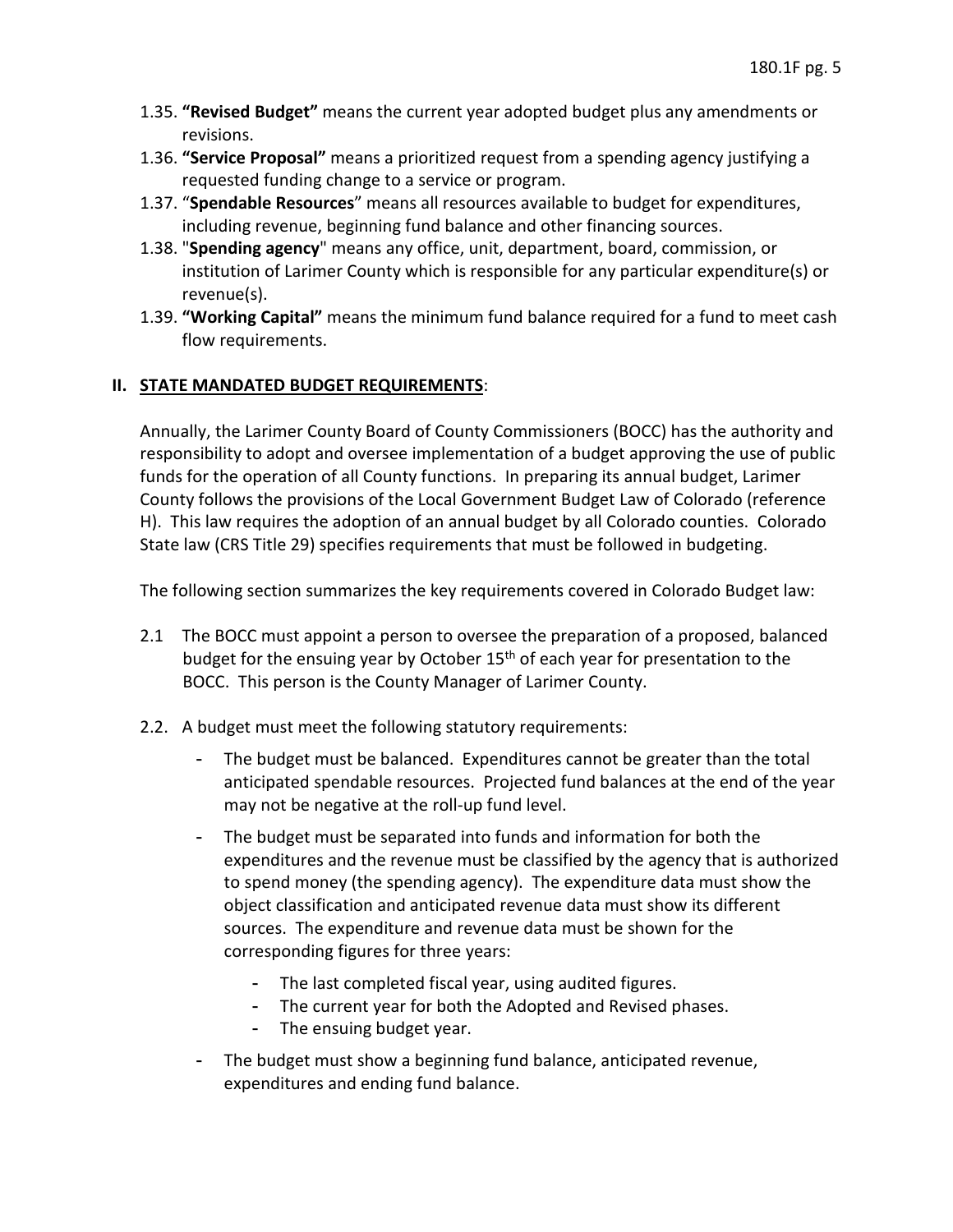- 1.35. **"Revised Budget"** means the current year adopted budget plus any amendments or revisions.
- 1.36. **"Service Proposal"** means a prioritized request from a spending agency justifying a requested funding change to a service or program.
- 1.37. "**Spendable Resources**" means all resources available to budget for expenditures, including revenue, beginning fund balance and other financing sources.
- 1.38. "**Spending agency**" means any office, unit, department, board, commission, or institution of Larimer County which is responsible for any particular expenditure(s) or revenue(s).
- 1.39. **"Working Capital"** means the minimum fund balance required for a fund to meet cash flow requirements.

## **II. STATE MANDATED BUDGET REQUIREMENTS**:

 funds for the operation of all County functions. In preparing its annual budget, Larimer County follows the provisions of the Local Government Budget Law of Colorado (reference Annually, the Larimer County Board of County Commissioners (BOCC) has the authority and responsibility to adopt and oversee implementation of a budget approving the use of public H). This law requires the adoption of an annual budget by all Colorado counties. Colorado State law (CRS Title 29) specifies requirements that must be followed in budgeting.

The following section summarizes the key requirements covered in Colorado Budget law:

- 2.1 The BOCC must appoint a person to oversee the preparation of a proposed, balanced BOCC. This person is the County Manager of Larimer County. budget for the ensuing year by October 15<sup>th</sup> of each year for presentation to the
- 2.2. A budget must meet the following statutory requirements:
	- - The budget must be balanced. Expenditures cannot be greater than the total anticipated spendable resources. Projected fund balances at the end of the year may not be negative at the roll-up fund level.
	- sources. The expenditure and revenue data must be shown for the - The budget must be separated into funds and information for both the expenditures and the revenue must be classified by the agency that is authorized to spend money (the spending agency). The expenditure data must show the object classification and anticipated revenue data must show its different corresponding figures for three years:
		- The last completed fiscal year, using audited figures.
		- The current year for both the Adopted and Revised phases.
		- The ensuing budget year.
	- The budget must show a beginning fund balance, anticipated revenue, expenditures and ending fund balance.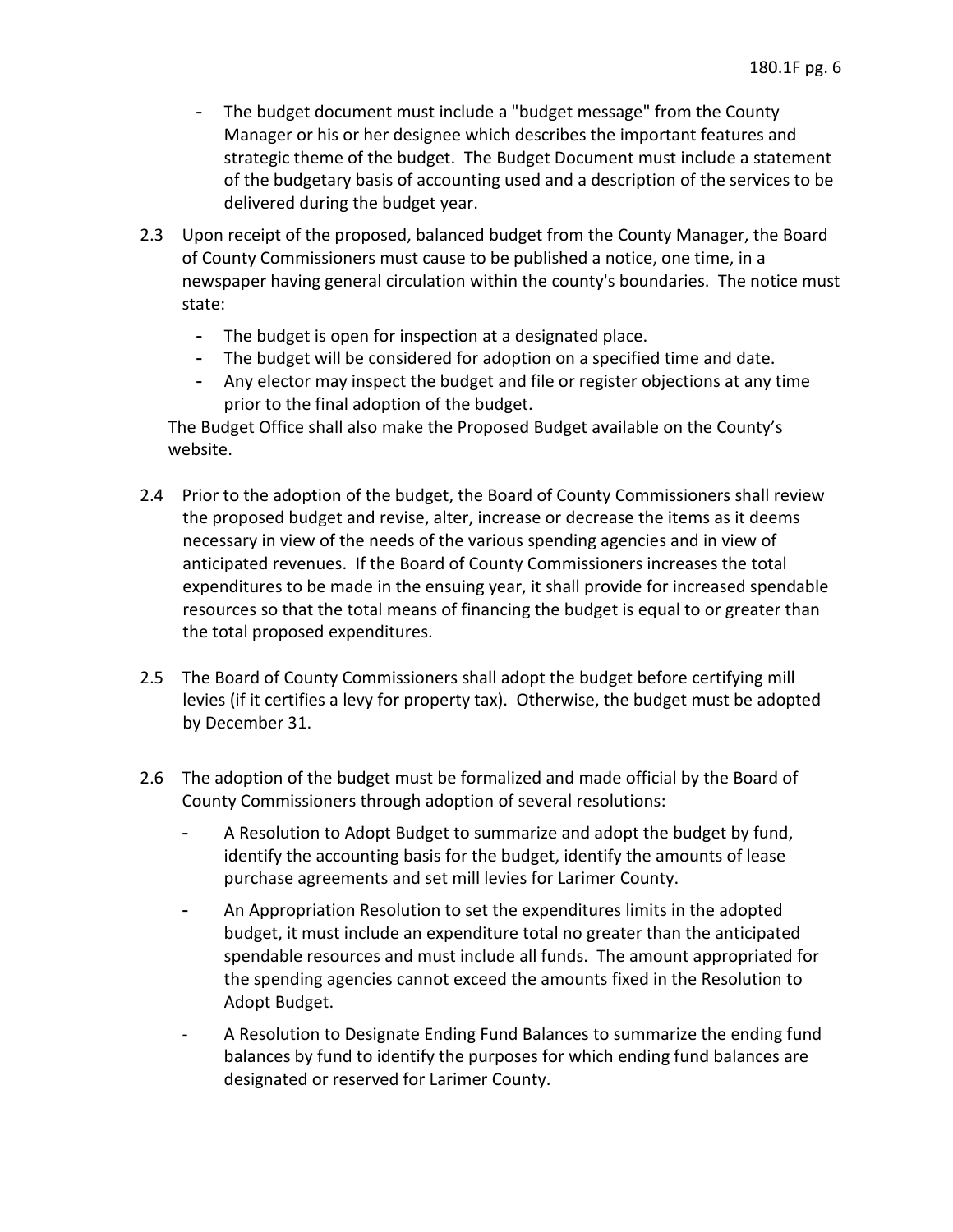- Manager or his or her designee which describes the important features and strategic theme of the budget. The Budget Document must include a statement - The budget document must include a "budget message" from the County of the budgetary basis of accounting used and a description of the services to be delivered during the budget year.
- newspaper having general circulation within the county's boundaries. The notice must 2.3 Upon receipt of the proposed, balanced budget from the County Manager, the Board of County Commissioners must cause to be published a notice, one time, in a state:
	- The budget is open for inspection at a designated place.
	- The budget will be considered for adoption on a specified time and date.
	- - Any elector may inspect the budget and file or register objections at any time prior to the final adoption of the budget.

The Budget Office shall also make the Proposed Budget available on the County's website.

- 2.4 Prior to the adoption of the budget, the Board of County Commissioners shall review expenditures to be made in the ensuing year, it shall provide for increased spendable the proposed budget and revise, alter, increase or decrease the items as it deems necessary in view of the needs of the various spending agencies and in view of anticipated revenues. If the Board of County Commissioners increases the total resources so that the total means of financing the budget is equal to or greater than the total proposed expenditures.
- 2.5 The Board of County Commissioners shall adopt the budget before certifying mill levies (if it certifies a levy for property tax). Otherwise, the budget must be adopted by December 31.
- 2.6 The adoption of the budget must be formalized and made official by the Board of County Commissioners through adoption of several resolutions:
	- identify the accounting basis for the budget, identify the amounts of lease - A Resolution to Adopt Budget to summarize and adopt the budget by fund, purchase agreements and set mill levies for Larimer County.
	- spendable resources and must include all funds. The amount appropriated for - An Appropriation Resolution to set the expenditures limits in the adopted budget, it must include an expenditure total no greater than the anticipated the spending agencies cannot exceed the amounts fixed in the Resolution to Adopt Budget.
	- balances by fund to identify the purposes for which ending fund balances are A Resolution to Designate Ending Fund Balances to summarize the ending fund designated or reserved for Larimer County.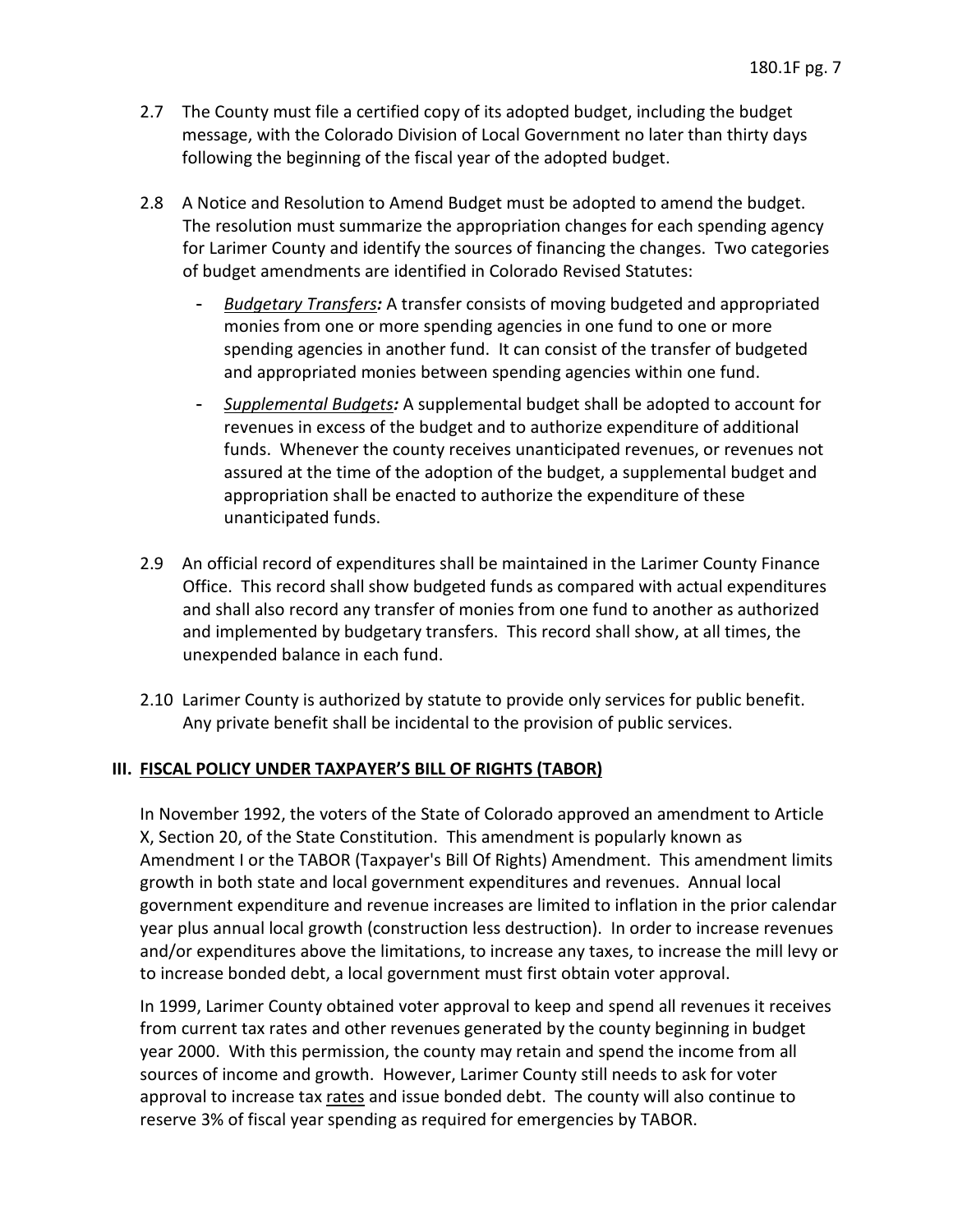- 2.7 The County must file a certified copy of its adopted budget, including the budget message, with the Colorado Division of Local Government no later than thirty days following the beginning of the fiscal year of the adopted budget.
- 2.8 A Notice and Resolution to Amend Budget must be adopted to amend the budget. The resolution must summarize the appropriation changes for each spending agency for Larimer County and identify the sources of financing the changes. Two categories of budget amendments are identified in Colorado Revised Statutes:
	- monies from one or more spending agencies in one fund to one or more spending agencies in another fund. It can consist of the transfer of budgeted - *Budgetary Transfers:* A transfer consists of moving budgeted and appropriated and appropriated monies between spending agencies within one fund.
	- funds. Whenever the county receives unanticipated revenues, or revenues not assured at the time of the adoption of the budget, a supplemental budget and appropriation shall be enacted to authorize the expenditure of these - *Supplemental Budgets:* A supplemental budget shall be adopted to account for revenues in excess of the budget and to authorize expenditure of additional unanticipated funds.
- and shall also record any transfer of monies from one fund to another as authorized and implemented by budgetary transfers. This record shall show, at all times, the 2.9 An official record of expenditures shall be maintained in the Larimer County Finance Office. This record shall show budgeted funds as compared with actual expenditures unexpended balance in each fund.
- 2.10 Larimer County is authorized by statute to provide only services for public benefit. Any private benefit shall be incidental to the provision of public services.

### **III. FISCAL POLICY UNDER TAXPAYER'S BILL OF RIGHTS (TABOR)**

 In November 1992, the voters of the State of Colorado approved an amendment to Article X, Section 20, of the State Constitution. This amendment is popularly known as government expenditure and revenue increases are limited to inflation in the prior calendar year plus annual local growth (construction less destruction). In order to increase revenues Amendment I or the TABOR (Taxpayer's Bill Of Rights) Amendment. This amendment limits growth in both state and local government expenditures and revenues. Annual local and/or expenditures above the limitations, to increase any taxes, to increase the mill levy or to increase bonded debt, a local government must first obtain voter approval.

 from current tax rates and other revenues generated by the county beginning in budget approval to increase tax *rates* and issue bonded debt. The county will also continue to reserve 3% of fiscal year spending as required for emergencies by TABOR. In 1999, Larimer County obtained voter approval to keep and spend all revenues it receives year 2000. With this permission, the county may retain and spend the income from all sources of income and growth. However, Larimer County still needs to ask for voter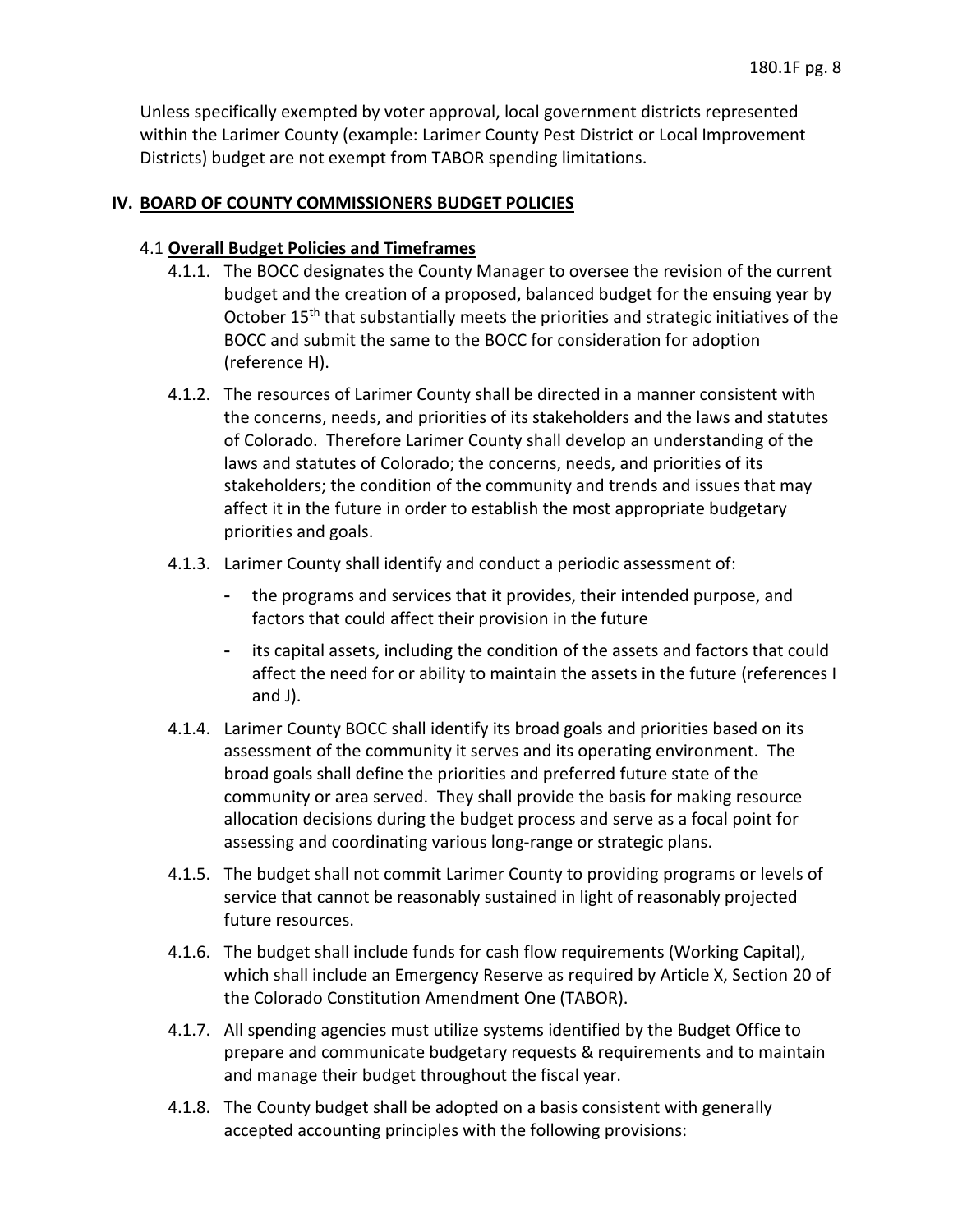Unless specifically exempted by voter approval, local government districts represented within the Larimer County (example: Larimer County Pest District or Local Improvement Districts) budget are not exempt from TABOR spending limitations.

### **IV. BOARD OF COUNTY COMMISSIONERS BUDGET POLICIES**

### 4.1 **Overall Budget Policies and Timeframes**

- budget and the creation of a proposed, balanced budget for the ensuing year by 4.1.1. The BOCC designates the County Manager to oversee the revision of the current October 15<sup>th</sup> that substantially meets the priorities and strategic initiatives of the BOCC and submit the same to the BOCC for consideration for adoption (reference H).
- stakeholders; the condition of the community and trends and issues that may affect it in the future in order to establish the most appropriate budgetary 4.1.2. The resources of Larimer County shall be directed in a manner consistent with the concerns, needs, and priorities of its stakeholders and the laws and statutes of Colorado. Therefore Larimer County shall develop an understanding of the laws and statutes of Colorado; the concerns, needs, and priorities of its priorities and goals.
- 4.1.3. Larimer County shall identify and conduct a periodic assessment of:
	- factors that could affect their provision in the future - the programs and services that it provides, their intended purpose, and
	- affect the need for or ability to maintain the assets in the future (references I - its capital assets, including the condition of the assets and factors that could and J).
- 4.1.4. Larimer County BOCC shall identify its broad goals and priorities based on its broad goals shall define the priorities and preferred future state of the allocation decisions during the budget process and serve as a focal point for assessment of the community it serves and its operating environment. The community or area served. They shall provide the basis for making resource assessing and coordinating various long-range or strategic plans.
- 4.1.5. The budget shall not commit Larimer County to providing programs or levels of service that cannot be reasonably sustained in light of reasonably projected future resources.
- 4.1.6. The budget shall include funds for cash flow requirements (Working Capital), which shall include an Emergency Reserve as required by Article X, Section 20 of the Colorado Constitution Amendment One (TABOR).
- 4.1.7. All spending agencies must utilize systems identified by the Budget Office to prepare and communicate budgetary requests & requirements and to maintain and manage their budget throughout the fiscal year.
- accepted accounting principles with the following provisions: 4.1.8. The County budget shall be adopted on a basis consistent with generally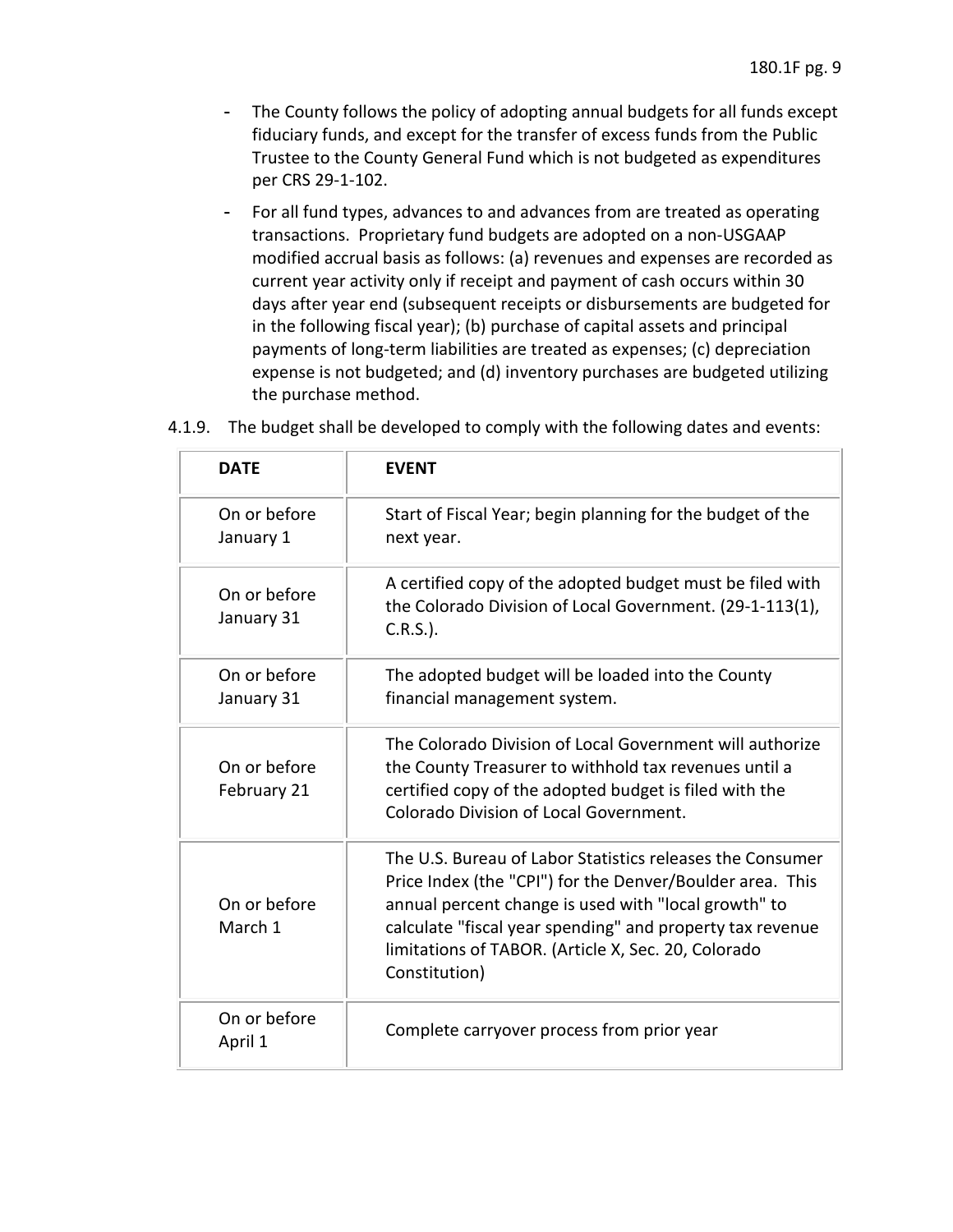- - The County follows the policy of adopting annual budgets for all funds except fiduciary funds, and except for the transfer of excess funds from the Public Trustee to the County General Fund which is not budgeted as expenditures per CRS 29-1-102.
- - For all fund types, advances to and advances from are treated as operating modified accrual basis as follows: (a) revenues and expenses are recorded as days after year end (subsequent receipts or disbursements are budgeted for transactions. Proprietary fund budgets are adopted on a non-USGAAP current year activity only if receipt and payment of cash occurs within 30 in the following fiscal year); (b) purchase of capital assets and principal payments of long-term liabilities are treated as expenses; (c) depreciation expense is not budgeted; and (d) inventory purchases are budgeted utilizing the purchase method.

| <b>DATE</b>                 | <b>EVENT</b>                                                                                                                                                                                                                                                                                                        |
|-----------------------------|---------------------------------------------------------------------------------------------------------------------------------------------------------------------------------------------------------------------------------------------------------------------------------------------------------------------|
| On or before<br>January 1   | Start of Fiscal Year; begin planning for the budget of the<br>next year.                                                                                                                                                                                                                                            |
| On or before<br>January 31  | A certified copy of the adopted budget must be filed with<br>the Colorado Division of Local Government. (29-1-113(1),<br>$C.R.S.$ ).                                                                                                                                                                                |
| On or before<br>January 31  | The adopted budget will be loaded into the County<br>financial management system.                                                                                                                                                                                                                                   |
| On or before<br>February 21 | The Colorado Division of Local Government will authorize<br>the County Treasurer to withhold tax revenues until a<br>certified copy of the adopted budget is filed with the<br>Colorado Division of Local Government.                                                                                               |
| On or before<br>March 1     | The U.S. Bureau of Labor Statistics releases the Consumer<br>Price Index (the "CPI") for the Denver/Boulder area. This<br>annual percent change is used with "local growth" to<br>calculate "fiscal year spending" and property tax revenue<br>limitations of TABOR. (Article X, Sec. 20, Colorado<br>Constitution) |
| On or before<br>April 1     | Complete carryover process from prior year                                                                                                                                                                                                                                                                          |

### 4.1.9. The budget shall be developed to comply with the following dates and events: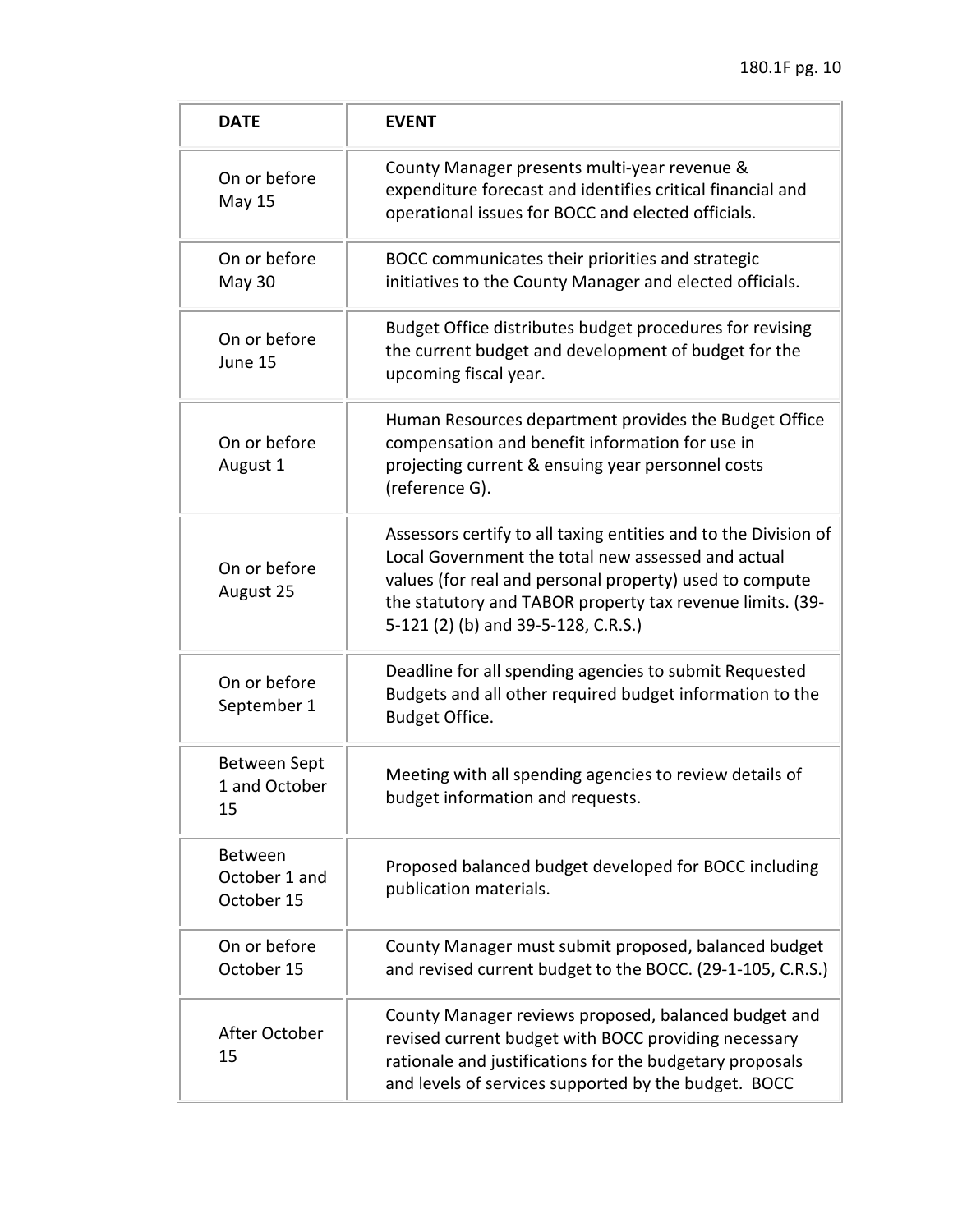| <b>DATE</b>                            | <b>EVENT</b>                                                                                                                                                                                                                                                                         |
|----------------------------------------|--------------------------------------------------------------------------------------------------------------------------------------------------------------------------------------------------------------------------------------------------------------------------------------|
| On or before<br><b>May 15</b>          | County Manager presents multi-year revenue &<br>expenditure forecast and identifies critical financial and<br>operational issues for BOCC and elected officials.                                                                                                                     |
| On or before<br>May 30                 | BOCC communicates their priorities and strategic<br>initiatives to the County Manager and elected officials.                                                                                                                                                                         |
| On or before<br>June 15                | Budget Office distributes budget procedures for revising<br>the current budget and development of budget for the<br>upcoming fiscal year.                                                                                                                                            |
| On or before<br>August 1               | Human Resources department provides the Budget Office<br>compensation and benefit information for use in<br>projecting current & ensuing year personnel costs<br>(reference G).                                                                                                      |
| On or before<br>August 25              | Assessors certify to all taxing entities and to the Division of<br>Local Government the total new assessed and actual<br>values (for real and personal property) used to compute<br>the statutory and TABOR property tax revenue limits. (39-<br>5-121 (2) (b) and 39-5-128, C.R.S.) |
| On or before<br>September 1            | Deadline for all spending agencies to submit Requested<br>Budgets and all other required budget information to the<br>Budget Office.                                                                                                                                                 |
| Between Sept<br>1 and October<br>15    | Meeting with all spending agencies to review details of<br>budget information and requests.                                                                                                                                                                                          |
| Between<br>October 1 and<br>October 15 | Proposed balanced budget developed for BOCC including<br>publication materials.                                                                                                                                                                                                      |
| On or before<br>October 15             | County Manager must submit proposed, balanced budget<br>and revised current budget to the BOCC. (29-1-105, C.R.S.)                                                                                                                                                                   |
| After October<br>15                    | County Manager reviews proposed, balanced budget and<br>revised current budget with BOCC providing necessary<br>rationale and justifications for the budgetary proposals<br>and levels of services supported by the budget. BOCC                                                     |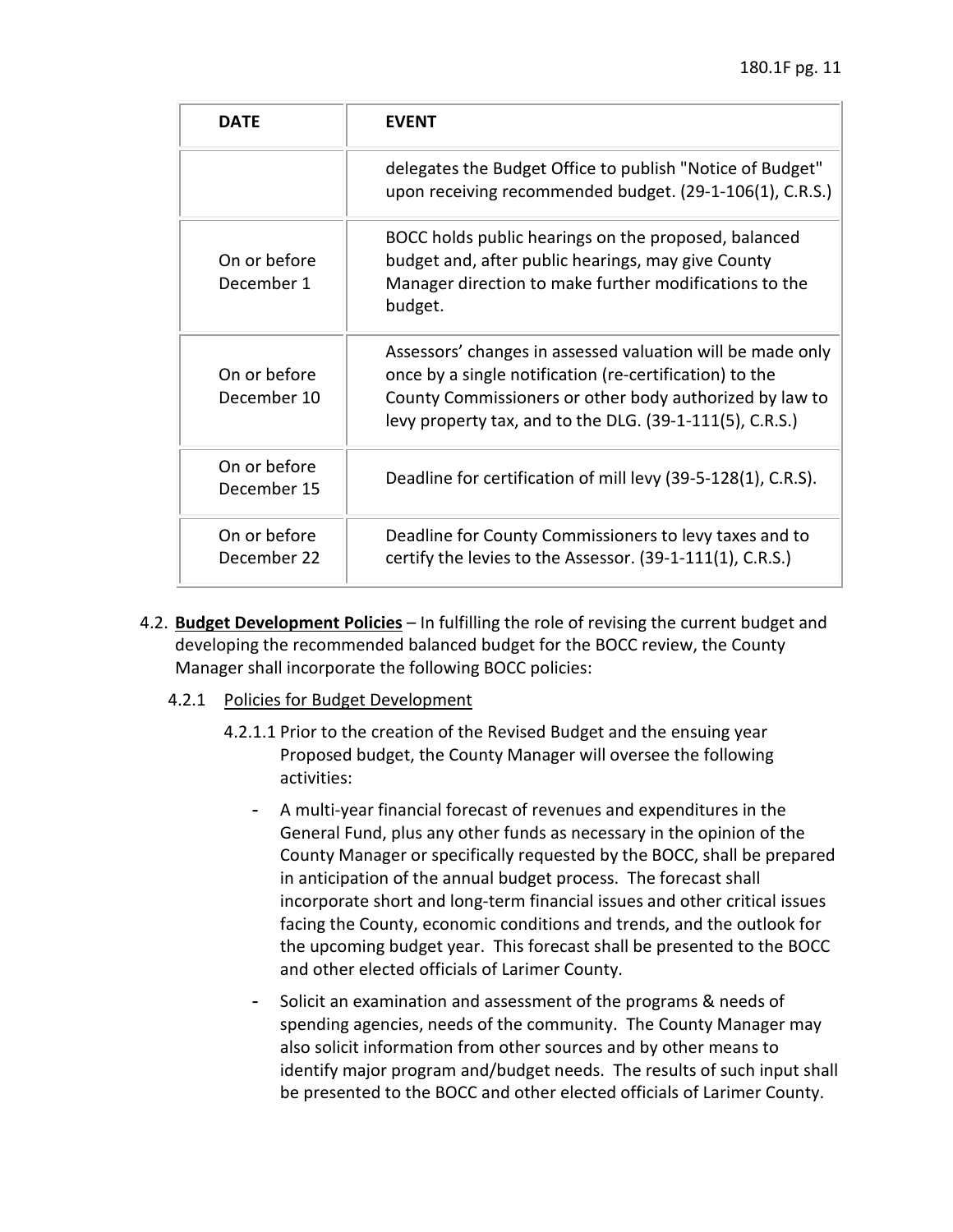| <b>DATF</b>                 | <b>FVFNT</b>                                                                                                                                                                                                                                 |
|-----------------------------|----------------------------------------------------------------------------------------------------------------------------------------------------------------------------------------------------------------------------------------------|
|                             | delegates the Budget Office to publish "Notice of Budget"<br>upon receiving recommended budget. (29-1-106(1), C.R.S.)                                                                                                                        |
| On or before<br>December 1  | BOCC holds public hearings on the proposed, balanced<br>budget and, after public hearings, may give County<br>Manager direction to make further modifications to the<br>budget.                                                              |
| On or before<br>December 10 | Assessors' changes in assessed valuation will be made only<br>once by a single notification (re-certification) to the<br>County Commissioners or other body authorized by law to<br>levy property tax, and to the DLG. (39-1-111(5), C.R.S.) |
| On or before<br>December 15 | Deadline for certification of mill levy (39-5-128(1), C.R.S).                                                                                                                                                                                |
| On or before<br>December 22 | Deadline for County Commissioners to levy taxes and to<br>certify the levies to the Assessor. (39-1-111(1), C.R.S.)                                                                                                                          |

- 4.2. **Budget Development Policies**  In fulfilling the role of revising the current budget and developing the recommended balanced budget for the BOCC review, the County Manager shall incorporate the following BOCC policies:
	- 4.2.1 Policies for Budget Development
		- 4.2.1.1 Prior to the creation of the Revised Budget and the ensuing year Proposed budget, the County Manager will oversee the following activities:
			- General Fund, plus any other funds as necessary in the opinion of the in anticipation of the annual budget process. The forecast shall facing the County, economic conditions and trends, and the outlook for - A multi-year financial forecast of revenues and expenditures in the County Manager or specifically requested by the BOCC, shall be prepared incorporate short and long-term financial issues and other critical issues the upcoming budget year. This forecast shall be presented to the BOCC and other elected officials of Larimer County.
			- - Solicit an examination and assessment of the programs & needs of identify major program and/budget needs. The results of such input shall spending agencies, needs of the community. The County Manager may also solicit information from other sources and by other means to be presented to the BOCC and other elected officials of Larimer County.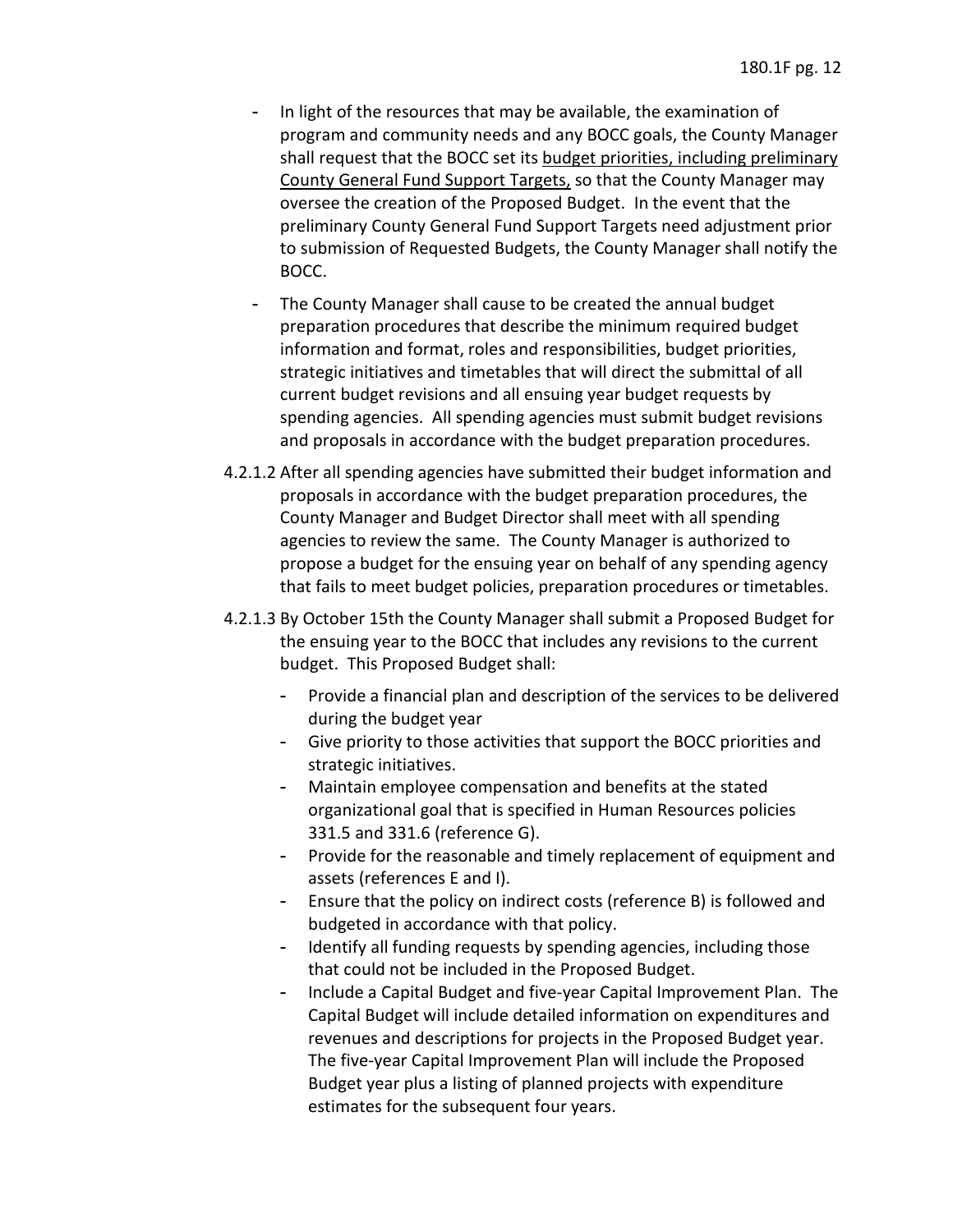- - In light of the resources that may be available, the examination of County General Fund Support Targets, so that the County Manager may oversee the creation of the Proposed Budget. In the event that the program and community needs and any BOCC goals, the County Manager shall request that the BOCC set its budget priorities, including preliminary preliminary County General Fund Support Targets need adjustment prior to submission of Requested Budgets, the County Manager shall notify the BOCC.
- - The County Manager shall cause to be created the annual budget preparation procedures that describe the minimum required budget current budget revisions and all ensuing year budget requests by spending agencies. All spending agencies must submit budget revisions information and format, roles and responsibilities, budget priorities, strategic initiatives and timetables that will direct the submittal of all and proposals in accordance with the budget preparation procedures.
- proposals in accordance with the budget preparation procedures, the 4.2.1.2 After all spending agencies have submitted their budget information and County Manager and Budget Director shall meet with all spending agencies to review the same. The County Manager is authorized to propose a budget for the ensuing year on behalf of any spending agency that fails to meet budget policies, preparation procedures or timetables.
- the ensuing year to the BOCC that includes any revisions to the current 4.2.1.3 By October 15th the County Manager shall submit a Proposed Budget for budget. This Proposed Budget shall:
	- - Provide a financial plan and description of the services to be delivered during the budget year
	- - Give priority to those activities that support the BOCC priorities and strategic initiatives.
	- organizational goal that is specified in Human Resources policies Maintain employee compensation and benefits at the stated 331.5 and 331.6 (reference G).
	- - Provide for the reasonable and timely replacement of equipment and assets (references E and I).
	- Ensure that the policy on indirect costs (reference B) is followed and budgeted in accordance with that policy.
	- - Identify all funding requests by spending agencies, including those that could not be included in the Proposed Budget.
	- Capital Budget will include detailed information on expenditures and The five-year Capital Improvement Plan will include the Proposed - Include a Capital Budget and five-year Capital Improvement Plan. The revenues and descriptions for projects in the Proposed Budget year. Budget year plus a listing of planned projects with expenditure estimates for the subsequent four years.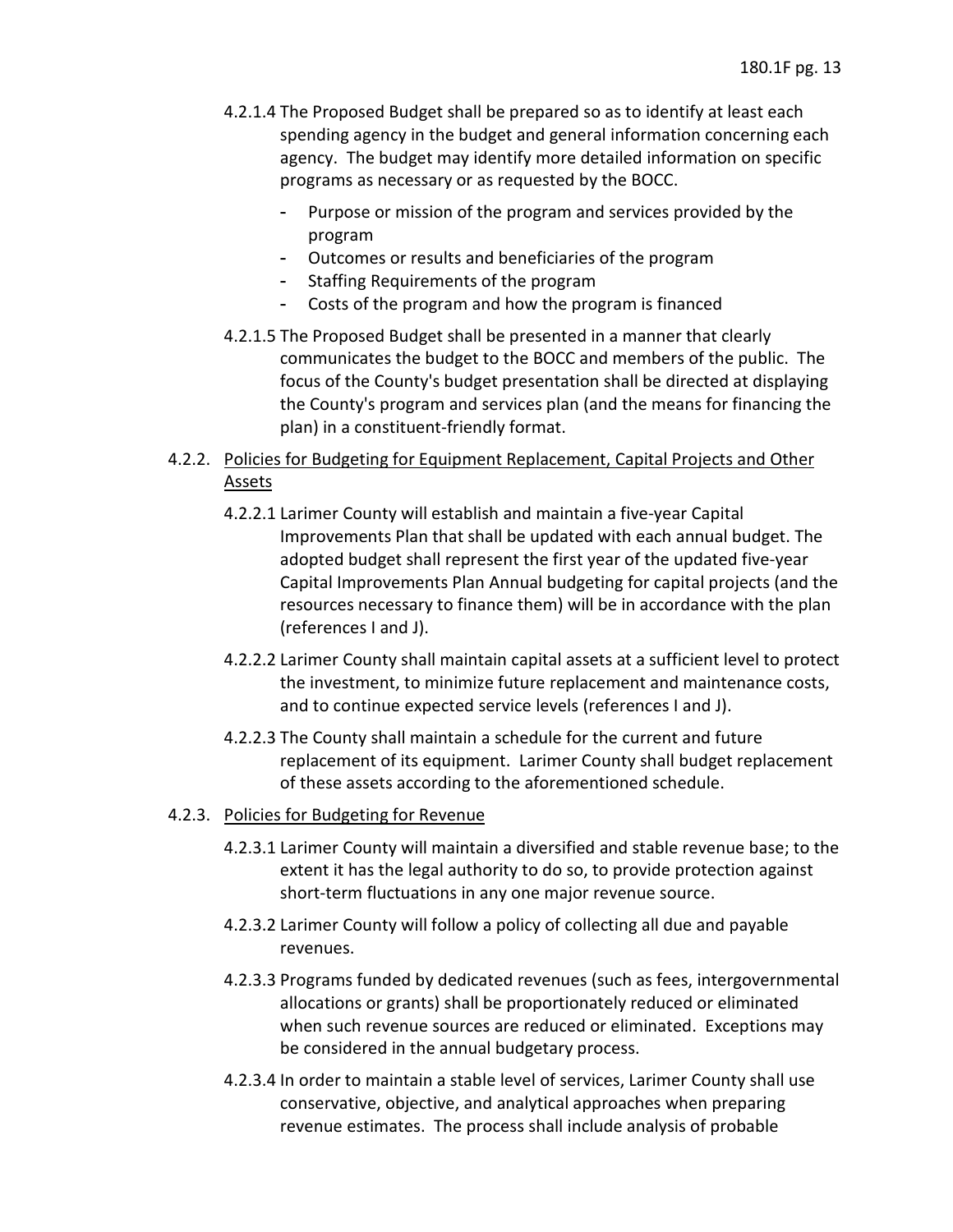- 4.2.1.4 The Proposed Budget shall be prepared so as to identify at least each agency. The budget may identify more detailed information on specific spending agency in the budget and general information concerning each programs as necessary or as requested by the BOCC.
	- - Purpose or mission of the program and services provided by the program
	- Outcomes or results and beneficiaries of the program
	- Staffing Requirements of the program
	- Costs of the program and how the program is financed
- the County's program and services plan (and the means for financing the 4.2.1.5 The Proposed Budget shall be presented in a manner that clearly communicates the budget to the BOCC and members of the public. The focus of the County's budget presentation shall be directed at displaying plan) in a constituent-friendly format.

## 4.2.2. Policies for Budgeting for Equipment Replacement, Capital Projects and Other Assets

- Improvements Plan that shall be updated with each annual budget. The adopted budget shall represent the first year of the updated five-year Capital Improvements Plan Annual budgeting for capital projects (and the resources necessary to finance them) will be in accordance with the plan 4.2.2.1 Larimer County will establish and maintain a five-year Capital (references I and J).
- the investment, to minimize future replacement and maintenance costs, 4.2.2.2 Larimer County shall maintain capital assets at a sufficient level to protect and to continue expected service levels (references I and J).
- 4.2.2.3 The County shall maintain a schedule for the current and future replacement of its equipment. Larimer County shall budget replacement of these assets according to the aforementioned schedule.

### 4.2.3. Policies for Budgeting for Revenue

- 4.2.3.1 Larimer County will maintain a diversified and stable revenue base; to the extent it has the legal authority to do so, to provide protection against short-term fluctuations in any one major revenue source.
- 4.2.3.2 Larimer County will follow a policy of collecting all due and payable revenues.
- 4.2.3.3 Programs funded by dedicated revenues (such as fees, intergovernmental be considered in the annual budgetary process. allocations or grants) shall be proportionately reduced or eliminated when such revenue sources are reduced or eliminated. Exceptions may
- conservative, objective, and analytical approaches when preparing revenue estimates. The process shall include analysis of probable 4.2.3.4 In order to maintain a stable level of services, Larimer County shall use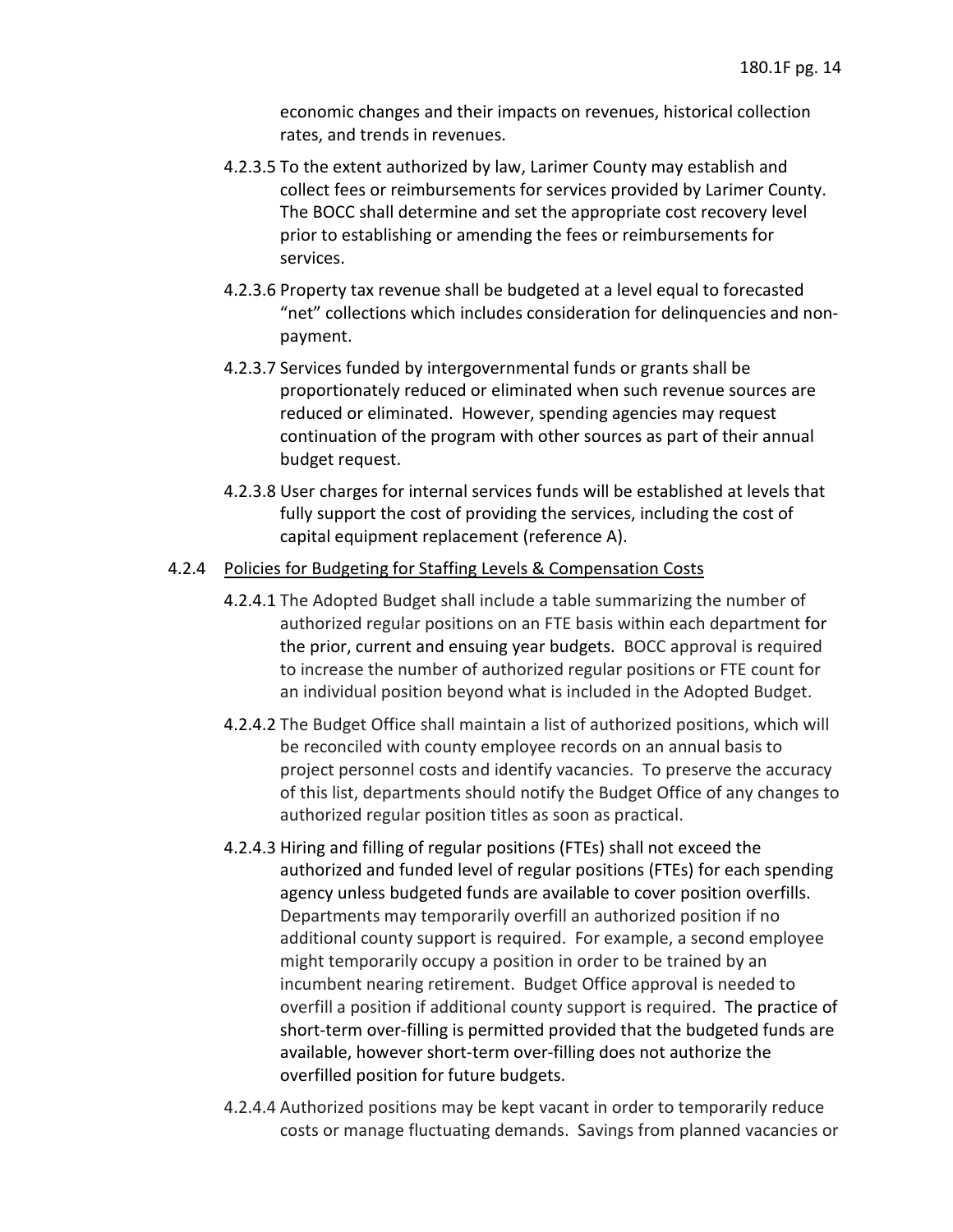economic changes and their impacts on revenues, historical collection rates, and trends in revenues.

- collect fees or reimbursements for services provided by Larimer County.<br>The BOCC shall determine and set the appropriate cost recovery level 4.2.3.5 To the extent authorized by law, Larimer County may establish and prior to establishing or amending the fees or reimbursements for services.
- 4.2.3.6 Property tax revenue shall be budgeted at a level equal to forecasted "net" collections which includes consideration for delinquencies and nonpayment.
- 4.2.3.7 Services funded by intergovernmental funds or grants shall be reduced or eliminated. However, spending agencies may request proportionately reduced or eliminated when such revenue sources are continuation of the program with other sources as part of their annual budget request.
- 4.2.3.8 User charges for internal services funds will be established at levels that fully support the cost of providing the services, including the cost of capital equipment replacement (reference A).

### 4.2.4 Policies for Budgeting for Staffing Levels & Compensation Costs

- the prior, current and ensuing year budgets. BOCC approval is required to increase the number of authorized regular positions or FTE count for 4.2.4.1 The Adopted Budget shall include a table summarizing the number of authorized regular positions on an FTE basis within each department for an individual position beyond what is included in the Adopted Budget.
- 4.2.4.2 The Budget Office shall maintain a list of authorized positions, which will be reconciled with county employee records on an annual basis to project personnel costs and identify vacancies. To preserve the accuracy of this list, departments should notify the Budget Office of any changes to authorized regular position titles as soon as practical.
- 4.2.4.3 Hiring and filling of regular positions (FTEs) shall not exceed the agency unless budgeted funds are available to cover position overfills.<br>Departments may temporarily overfill an authorized position if no Departments may temporarily overfill an authorized position if no incumbent nearing retirement. Budget Office approval is needed to overfill a position if additional county support is required. The practice of short-term over-filling is permitted provided that the budgeted funds are authorized and funded level of regular positions (FTEs) for each spending additional county support is required. For example, a second employee might temporarily occupy a position in order to be trained by an available, however short-term over-filling does not authorize the overfilled position for future budgets.
- 4.2.4.4 Authorized positions may be kept vacant in order to temporarily reduce costs or manage fluctuating demands. Savings from planned vacancies or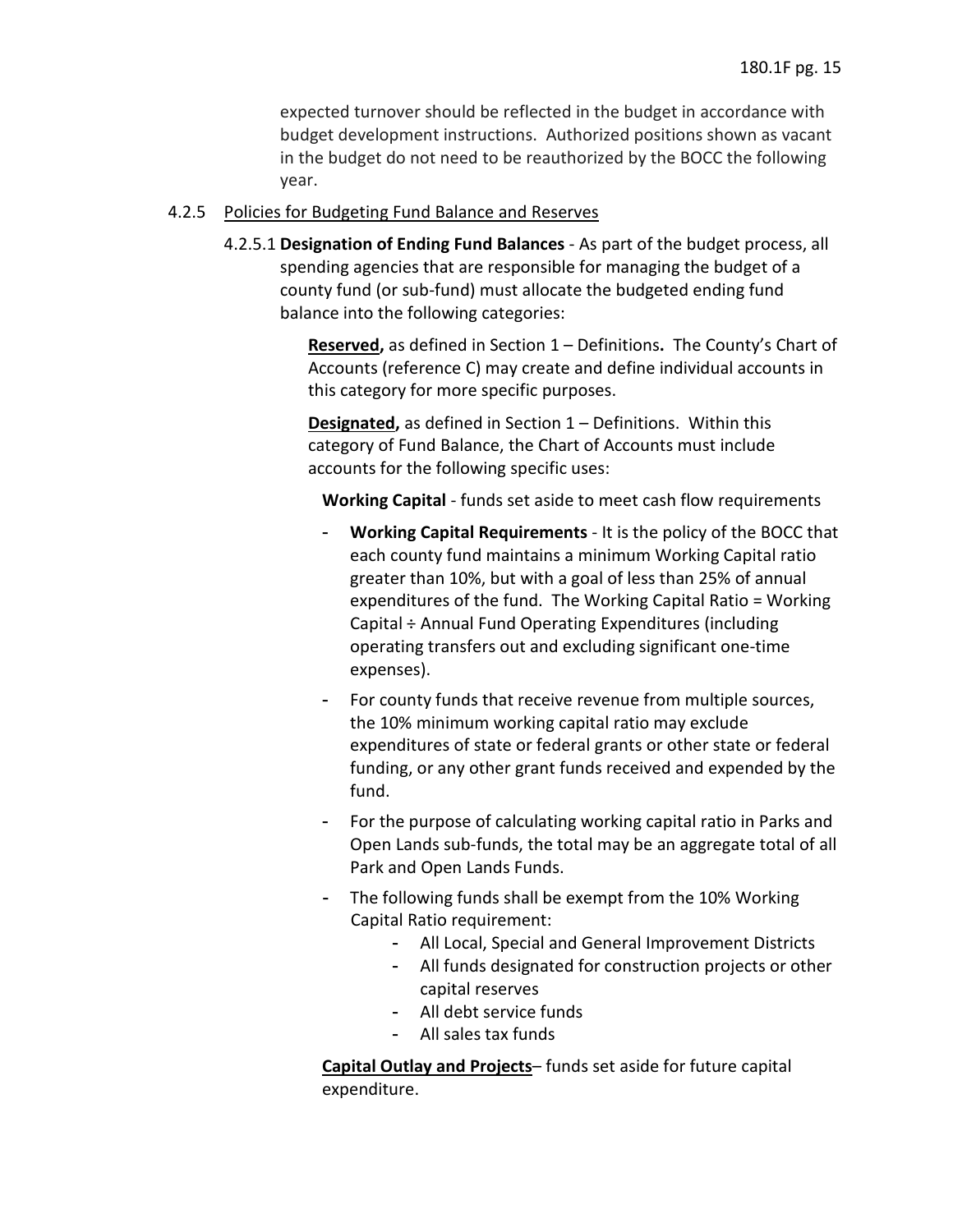budget development instructions. Authorized positions shown as vacant expected turnover should be reflected in the budget in accordance with in the budget do not need to be reauthorized by the BOCC the following year.

### 4.2.5 Policies for Budgeting Fund Balance and Reserves

 4.2.5.1 **Designation of Ending Fund Balances** - As part of the budget process, all spending agencies that are responsible for managing the budget of a balance into the following categories: county fund (or sub-fund) must allocate the budgeted ending fund

> **Reserved,** as defined in Section 1 – Definitions**.** The County's Chart of Accounts (reference C) may create and define individual accounts in this category for more specific purposes.

**Designated,** as defined in Section 1 – Definitions. Within this category of Fund Balance, the Chart of Accounts must include accounts for the following specific uses:

**Working Capital** - funds set aside to meet cash flow requirements

- - **Working Capital Requirements**  It is the policy of the BOCC that each county fund maintains a minimum Working Capital ratio greater than 10%, but with a goal of less than 25% of annual expenditures of the fund. The Working Capital Ratio = Working Capital ÷ Annual Fund Operating Expenditures (including operating transfers out and excluding significant one-time expenses).
- - For county funds that receive revenue from multiple sources, expenditures of state or federal grants or other state or federal funding, or any other grant funds received and expended by the the 10% minimum working capital ratio may exclude fund.
- Open Lands sub-funds, the total may be an aggregate total of all - For the purpose of calculating working capital ratio in Parks and Park and Open Lands Funds.
- - The following funds shall be exempt from the 10% Working Capital Ratio requirement:
	- All Local, Special and General Improvement Districts
	- - All funds designated for construction projects or other capital reserves
	- All debt service funds
	- All sales tax funds

 **Capital Outlay and Projects**– funds set aside for future capital expenditure.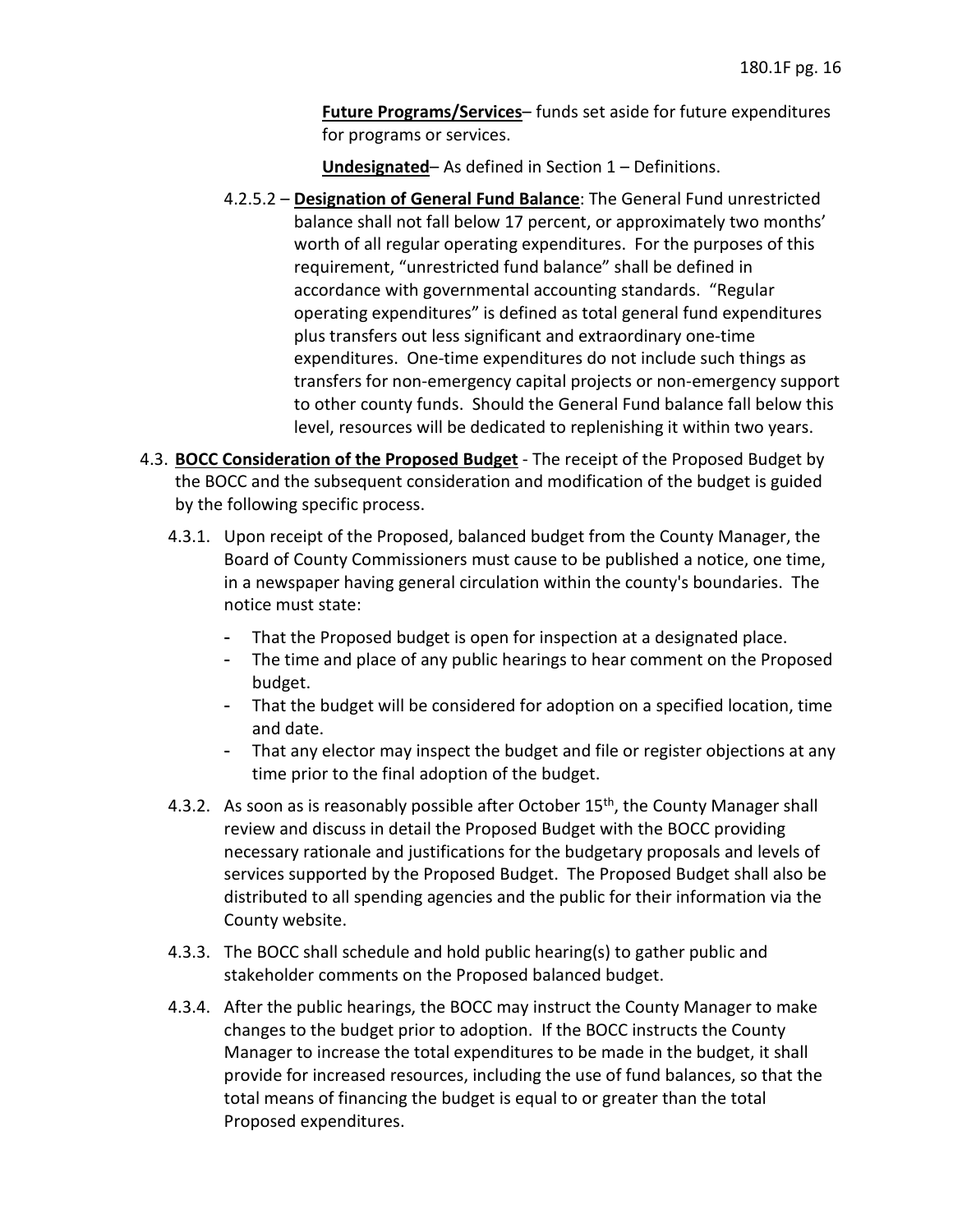**Future Programs/Services**– funds set aside for future expenditures for programs or services.

**Undesignated**– As defined in Section 1 – Definitions.

- balance shall not fall below 17 percent, or approximately two months' worth of all regular operating expenditures. For the purposes of this accordance with governmental accounting standards. "Regular plus transfers out less significant and extraordinary one-time expenditures. One-time expenditures do not include such things as to other county funds. Should the General Fund balance fall below this level, resources will be dedicated to replenishing it within two years. 4.2.5.2 – **Designation of General Fund Balance**: The General Fund unrestricted requirement, "unrestricted fund balance" shall be defined in operating expenditures" is defined as total general fund expenditures transfers for non-emergency capital projects or non-emergency support
- 4.3. **BOCC Consideration of the Proposed Budget**  The receipt of the Proposed Budget by the BOCC and the subsequent consideration and modification of the budget is guided by the following specific process.
	- Board of County Commissioners must cause to be published a notice, one time, in a newspaper having general circulation within the county's boundaries. The 4.3.1. Upon receipt of the Proposed, balanced budget from the County Manager, the notice must state:
		- That the Proposed budget is open for inspection at a designated place.
		- - The time and place of any public hearings to hear comment on the Proposed budget.
		- - That the budget will be considered for adoption on a specified location, time and date.
		- - That any elector may inspect the budget and file or register objections at any time prior to the final adoption of the budget.
	- 4.3.2. As soon as is reasonably possible after October  $15<sup>th</sup>$ , the County Manager shall review and discuss in detail the Proposed Budget with the BOCC providing services supported by the Proposed Budget. The Proposed Budget shall also be distributed to all spending agencies and the public for their information via the necessary rationale and justifications for the budgetary proposals and levels of County website.
	- 4.3.3. The BOCC shall schedule and hold public hearing(s) to gather public and stakeholder comments on the Proposed balanced budget.
	- 4.3.4. After the public hearings, the BOCC may instruct the County Manager to make changes to the budget prior to adoption. If the BOCC instructs the County Manager to increase the total expenditures to be made in the budget, it shall total means of financing the budget is equal to or greater than the total provide for increased resources, including the use of fund balances, so that the Proposed expenditures.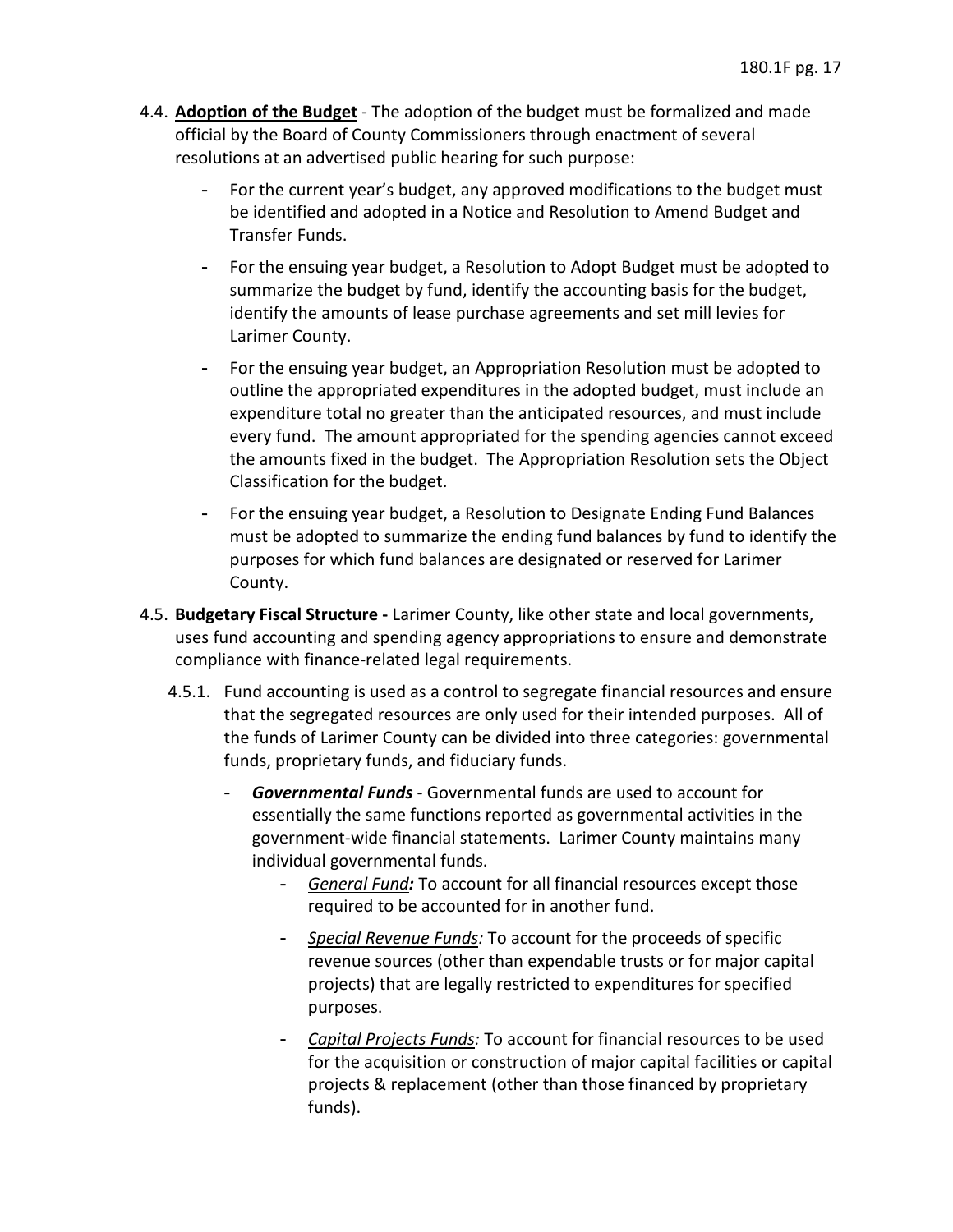- 4.4. **Adoption of the Budget**  The adoption of the budget must be formalized and made official by the Board of County Commissioners through enactment of several resolutions at an advertised public hearing for such purpose:
	- For the current year's budget, any approved modifications to the budget must be identified and adopted in a Notice and Resolution to Amend Budget and Transfer Funds.
	- - For the ensuing year budget, a Resolution to Adopt Budget must be adopted to summarize the budget by fund, identify the accounting basis for the budget, identify the amounts of lease purchase agreements and set mill levies for Larimer County.
	- expenditure total no greater than the anticipated resources, and must include the amounts fixed in the budget. The Appropriation Resolution sets the Object - For the ensuing year budget, an Appropriation Resolution must be adopted to outline the appropriated expenditures in the adopted budget, must include an every fund. The amount appropriated for the spending agencies cannot exceed Classification for the budget.
	- purposes for which fund balances are designated or reserved for Larimer - For the ensuing year budget, a Resolution to Designate Ending Fund Balances must be adopted to summarize the ending fund balances by fund to identify the County.
- 4.5. **Budgetary Fiscal Structure -** Larimer County, like other state and local governments, uses fund accounting and spending agency appropriations to ensure and demonstrate compliance with finance-related legal requirements.
	- 4.5.1. Fund accounting is used as a control to segregate financial resources and ensure that the segregated resources are only used for their intended purposes. All of the funds of Larimer County can be divided into three categories: governmental funds, proprietary funds, and fiduciary funds.
		- - *Governmental Funds*  Governmental funds are used to account for government-wide financial statements. Larimer County maintains many essentially the same functions reported as governmental activities in the individual governmental funds.
			- *General Fund:* To account for all financial resources except those required to be accounted for in another fund.
			- projects) that are legally restricted to expenditures for specified - *Special Revenue Funds:* To account for the proceeds of specific revenue sources (other than expendable trusts or for major capital purposes.
			- - *Capital Projects Funds:* To account for financial resources to be used for the acquisition or construction of major capital facilities or capital projects & replacement (other than those financed by proprietary funds).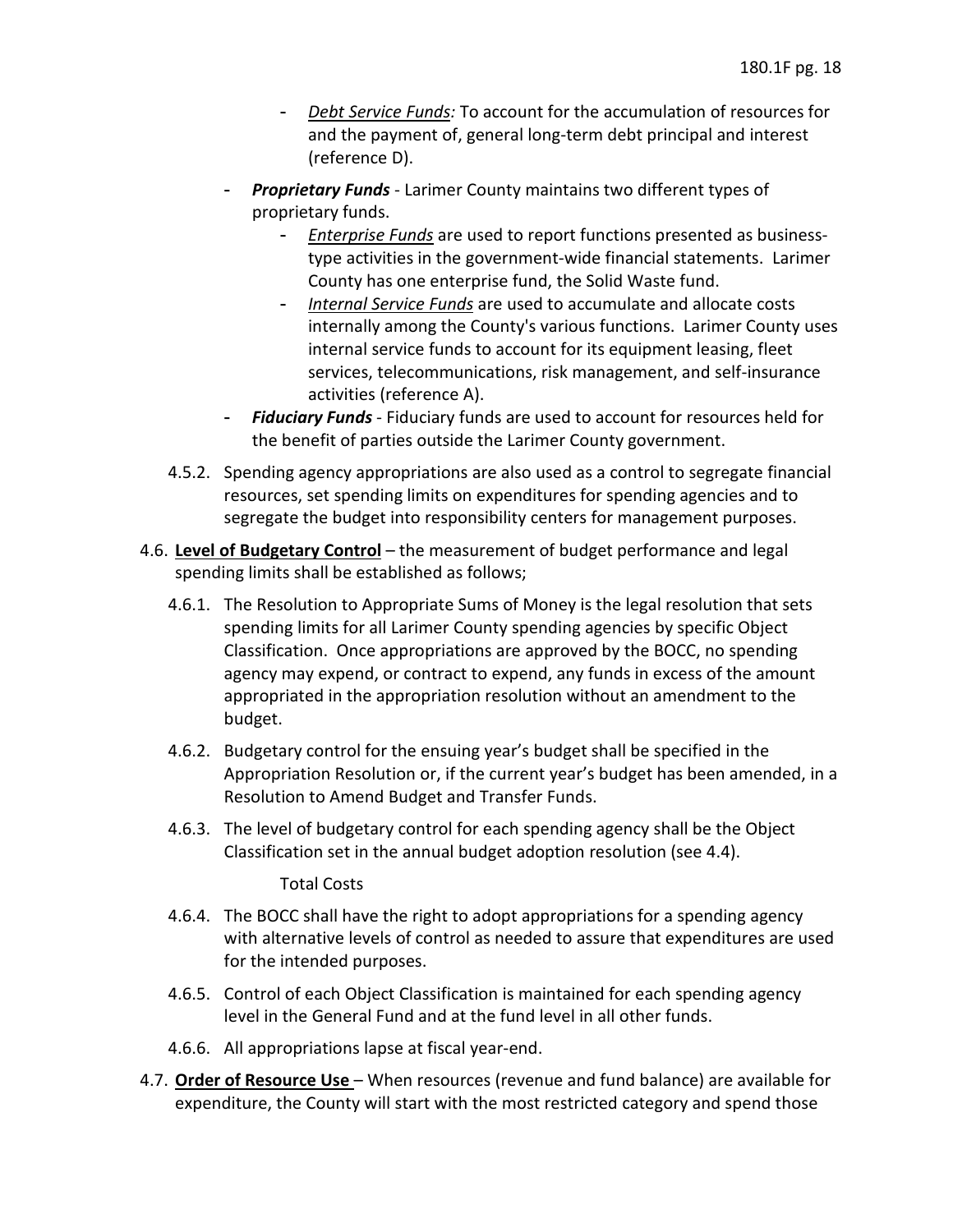- and the payment of, general long-term debt principal and interest - *Debt Service Funds:* To account for the accumulation of resources for (reference D).
- - *Proprietary Funds*  Larimer County maintains two different types of proprietary funds.
	- type activities in the government-wide financial statements. Larimer County has one enterprise fund, the Solid Waste fund. - *Enterprise Funds* are used to report functions presented as business-
	- internally among the County's various functions. Larimer County uses - *Internal Service Funds* are used to accumulate and allocate costs internal service funds to account for its equipment leasing, fleet services, telecommunications, risk management, and self-insurance activities (reference A).
- - *Fiduciary Funds*  Fiduciary funds are used to account for resources held for the benefit of parties outside the Larimer County government.
- 4.5.2. Spending agency appropriations are also used as a control to segregate financial resources, set spending limits on expenditures for spending agencies and to segregate the budget into responsibility centers for management purposes.
- 4.6. **Level of Budgetary Control**  the measurement of budget performance and legal spending limits shall be established as follows;
	- 4.6.1. The Resolution to Appropriate Sums of Money is the legal resolution that sets spending limits for all Larimer County spending agencies by specific Object Classification. Once appropriations are approved by the BOCC, no spending agency may expend, or contract to expend, any funds in excess of the amount appropriated in the appropriation resolution without an amendment to the budget.
	- 4.6.2. Budgetary control for the ensuing year's budget shall be specified in the Appropriation Resolution or, if the current year's budget has been amended, in a Resolution to Amend Budget and Transfer Funds.
	- 4.6.3. The level of budgetary control for each spending agency shall be the Object Classification set in the annual budget adoption resolution (see 4.4).

#### Total Costs

- 4.6.4. The BOCC shall have the right to adopt appropriations for a spending agency with alternative levels of control as needed to assure that expenditures are used for the intended purposes.
- level in the General Fund and at the fund level in all other funds. 4.6.5. Control of each Object Classification is maintained for each spending agency
- 4.6.6. All appropriations lapse at fiscal year-end.
- 4.7. **Order of Resource Use**  When resources (revenue and fund balance) are available for expenditure, the County will start with the most restricted category and spend those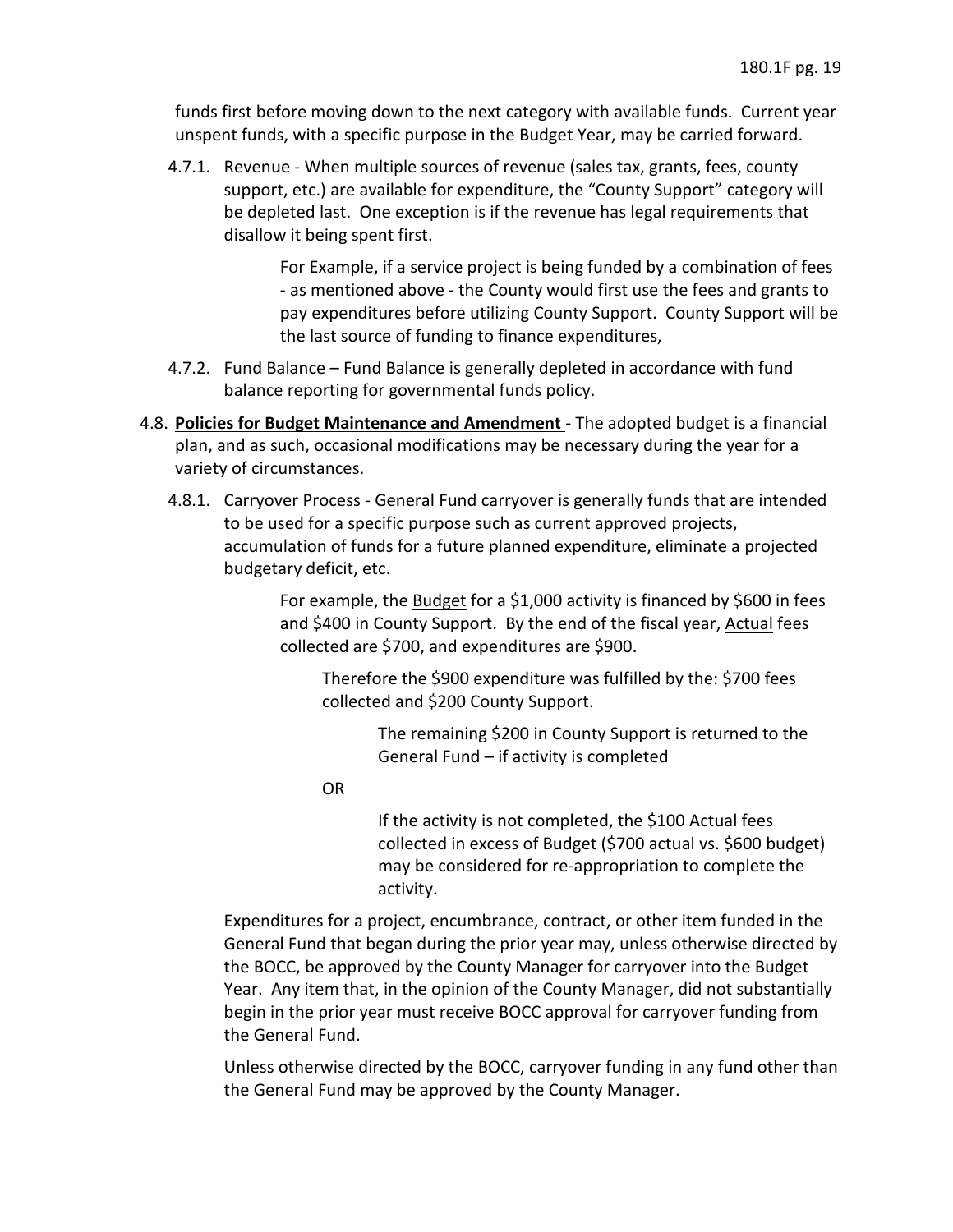funds first before moving down to the next category with available funds. Current year unspent funds, with a specific purpose in the Budget Year, may be carried forward.

 4.7.1. Revenue - When multiple sources of revenue (sales tax, grants, fees, county support, etc.) are available for expenditure, the "County Support" category will be depleted last. One exception is if the revenue has legal requirements that disallow it being spent first.

> For Example, if a service project is being funded by a combination of fees - as mentioned above - the County would first use the fees and grants to the last source of funding to finance expenditures, pay expenditures before utilizing County Support. County Support will be

- balance reporting for governmental funds policy. 4.7.2. Fund Balance – Fund Balance is generally depleted in accordance with fund
- 4.8. **Policies for Budget Maintenance and Amendment**  The adopted budget is a financial plan, and as such, occasional modifications may be necessary during the year for a variety of circumstances.
	- 4.8.1. Carryover Process General Fund carryover is generally funds that are intended to be used for a specific purpose such as current approved projects, accumulation of funds for a future planned expenditure, eliminate a projected budgetary deficit, etc.

For example, the Budget for a \$1,000 activity is financed by \$600 in fees and \$400 in County Support. By the end of the fiscal year, Actual fees collected are \$700, and expenditures are \$900.

 Therefore the \$900 expenditure was fulfilled by the: \$700 fees collected and \$200 County Support.

> The remaining \$200 in County Support is returned to the General Fund – if activity is completed

OR

If the activity is not completed, the \$100 Actual fees collected in excess of Budget (\$700 actual vs. \$600 budget) may be considered for re-appropriation to complete the activity.

 General Fund that began during the prior year may, unless otherwise directed by the BOCC, be approved by the County Manager for carryover into the Budget Expenditures for a project, encumbrance, contract, or other item funded in the Year. Any item that, in the opinion of the County Manager, did not substantially begin in the prior year must receive BOCC approval for carryover funding from the General Fund.

 Unless otherwise directed by the BOCC, carryover funding in any fund other than the General Fund may be approved by the County Manager.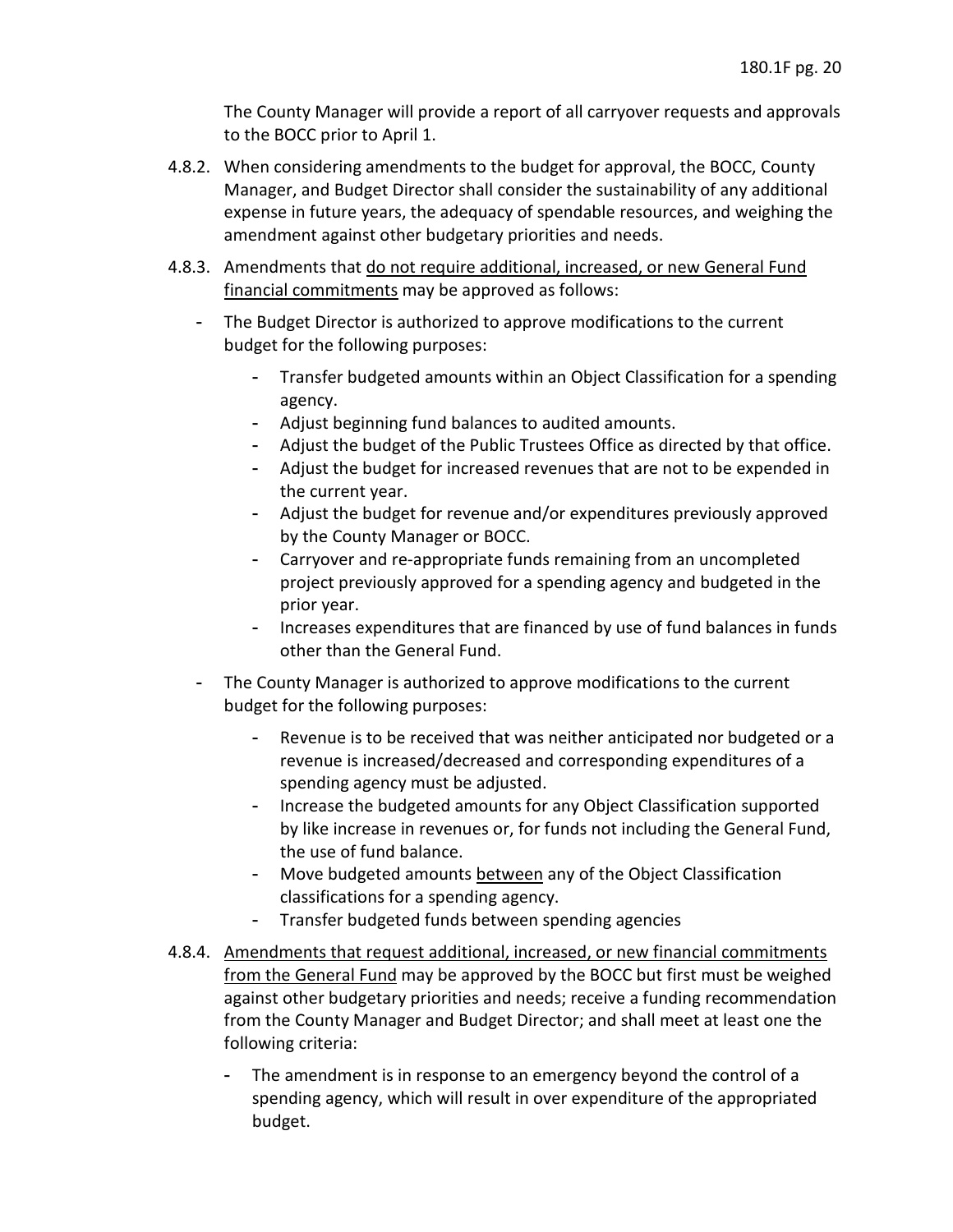The County Manager will provide a report of all carryover requests and approvals to the BOCC prior to April 1.

- 4.8.2. When considering amendments to the budget for approval, the BOCC, County Manager, and Budget Director shall consider the sustainability of any additional expense in future years, the adequacy of spendable resources, and weighing the amendment against other budgetary priorities and needs.
- 4.8.3. Amendments that do not require additional, increased, or new General Fund financial commitments may be approved as follows:
	- The Budget Director is authorized to approve modifications to the current budget for the following purposes:
		- - Transfer budgeted amounts within an Object Classification for a spending agency.
		- Adjust beginning fund balances to audited amounts.
		- Adjust the budget of the Public Trustees Office as directed by that office.
		- Adjust the budget for increased revenues that are not to be expended in the current year.
		- Adjust the budget for revenue and/or expenditures previously approved by the County Manager or BOCC.
		- Carryover and re-appropriate funds remaining from an uncompleted project previously approved for a spending agency and budgeted in the prior year.
		- - Increases expenditures that are financed by use of fund balances in funds other than the General Fund.
	- The County Manager is authorized to approve modifications to the current budget for the following purposes:
		- Revenue is to be received that was neither anticipated nor budgeted or a revenue is increased/decreased and corresponding expenditures of a spending agency must be adjusted.
		- - Increase the budgeted amounts for any Object Classification supported by like increase in revenues or, for funds not including the General Fund, the use of fund balance.
		- Move budgeted amounts between any of the Object Classification classifications for a spending agency.
		- Transfer budgeted funds between spending agencies
- 4.8.4. Amendments that request additional, increased, or new financial commitments from the General Fund may be approved by the BOCC but first must be weighed against other budgetary priorities and needs; receive a funding recommendation from the County Manager and Budget Director; and shall meet at least one the following criteria:
	- - The amendment is in response to an emergency beyond the control of a spending agency, which will result in over expenditure of the appropriated budget.